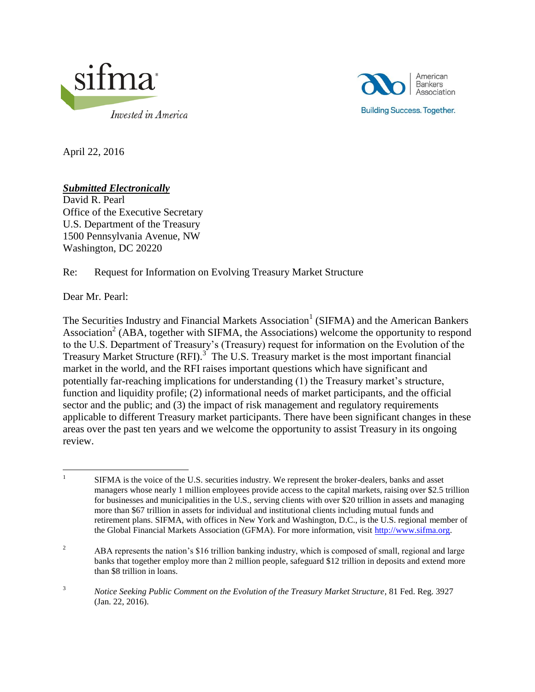



April 22, 2016

## *Submitted Electronically*

David R. Pearl Office of the Executive Secretary U.S. Department of the Treasury 1500 Pennsylvania Avenue, NW Washington, DC 20220

### Re: Request for Information on Evolving Treasury Market Structure

Dear Mr. Pearl:

The Securities Industry and Financial Markets Association<sup>1</sup> (SIFMA) and the American Bankers Association<sup>2</sup> (ABA, together with SIFMA, the Associations) welcome the opportunity to respond to the U.S. Department of Treasury's (Treasury) request for information on the Evolution of the Treasury Market Structure (RFI).<sup>3</sup> The U.S. Treasury market is the most important financial market in the world, and the RFI raises important questions which have significant and potentially far-reaching implications for understanding (1) the Treasury market's structure, function and liquidity profile; (2) informational needs of market participants, and the official sector and the public; and (3) the impact of risk management and regulatory requirements applicable to different Treasury market participants. There have been significant changes in these areas over the past ten years and we welcome the opportunity to assist Treasury in its ongoing review.

 $\frac{1}{1}$ SIFMA is the voice of the U.S. securities industry. We represent the broker-dealers, banks and asset managers whose nearly 1 million employees provide access to the capital markets, raising over \$2.5 trillion for businesses and municipalities in the U.S., serving clients with over \$20 trillion in assets and managing more than \$67 trillion in assets for individual and institutional clients including mutual funds and retirement plans. SIFMA, with offices in New York and Washington, D.C., is the U.S. regional member of the Global Financial Markets Association (GFMA). For more information, visit [http://www.sifma.org.](http://www.sifma.org/)

<sup>&</sup>lt;sup>2</sup> ABA represents the nation's \$16 trillion banking industry, which is composed of small, regional and large banks that together employ more than 2 million people, safeguard \$12 trillion in deposits and extend more than \$8 trillion in loans.

<sup>&</sup>lt;sup>3</sup> *Notice Seeking Public Comment on the Evolution of the Treasury Market Structure*, 81 Fed. Reg. 3927 (Jan. 22, 2016).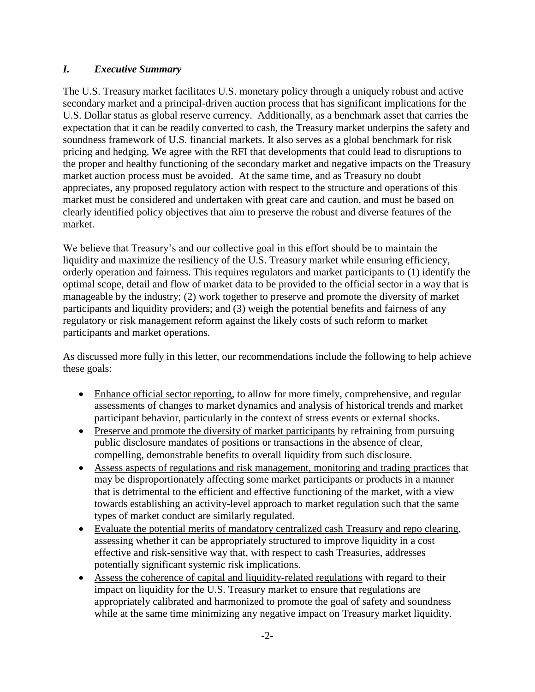### *I. Executive Summary*

The U.S. Treasury market facilitates U.S. monetary policy through a uniquely robust and active secondary market and a principal-driven auction process that has significant implications for the U.S. Dollar status as global reserve currency. Additionally, as a benchmark asset that carries the expectation that it can be readily converted to cash, the Treasury market underpins the safety and soundness framework of U.S. financial markets. It also serves as a global benchmark for risk pricing and hedging. We agree with the RFI that developments that could lead to disruptions to the proper and healthy functioning of the secondary market and negative impacts on the Treasury market auction process must be avoided. At the same time, and as Treasury no doubt appreciates, any proposed regulatory action with respect to the structure and operations of this market must be considered and undertaken with great care and caution, and must be based on clearly identified policy objectives that aim to preserve the robust and diverse features of the market.

We believe that Treasury's and our collective goal in this effort should be to maintain the liquidity and maximize the resiliency of the U.S. Treasury market while ensuring efficiency, orderly operation and fairness. This requires regulators and market participants to (1) identify the optimal scope, detail and flow of market data to be provided to the official sector in a way that is manageable by the industry; (2) work together to preserve and promote the diversity of market participants and liquidity providers; and (3) weigh the potential benefits and fairness of any regulatory or risk management reform against the likely costs of such reform to market participants and market operations.

As discussed more fully in this letter, our recommendations include the following to help achieve these goals:

- Enhance official sector reporting, to allow for more timely, comprehensive, and regular assessments of changes to market dynamics and analysis of historical trends and market participant behavior, particularly in the context of stress events or external shocks.
- Preserve and promote the diversity of market participants by refraining from pursuing public disclosure mandates of positions or transactions in the absence of clear, compelling, demonstrable benefits to overall liquidity from such disclosure.
- Assess aspects of regulations and risk management, monitoring and trading practices that may be disproportionately affecting some market participants or products in a manner that is detrimental to the efficient and effective functioning of the market, with a view towards establishing an activity-level approach to market regulation such that the same types of market conduct are similarly regulated.
- Evaluate the potential merits of mandatory centralized cash Treasury and repo clearing, assessing whether it can be appropriately structured to improve liquidity in a cost effective and risk-sensitive way that, with respect to cash Treasuries, addresses potentially significant systemic risk implications.
- Assess the coherence of capital and liquidity-related regulations with regard to their impact on liquidity for the U.S. Treasury market to ensure that regulations are appropriately calibrated and harmonized to promote the goal of safety and soundness while at the same time minimizing any negative impact on Treasury market liquidity.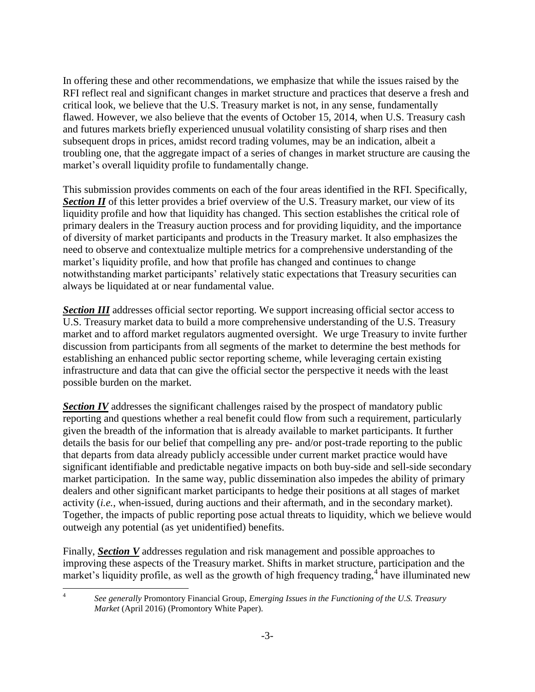In offering these and other recommendations, we emphasize that while the issues raised by the RFI reflect real and significant changes in market structure and practices that deserve a fresh and critical look, we believe that the U.S. Treasury market is not, in any sense, fundamentally flawed. However, we also believe that the events of October 15, 2014, when U.S. Treasury cash and futures markets briefly experienced unusual volatility consisting of sharp rises and then subsequent drops in prices, amidst record trading volumes, may be an indication, albeit a troubling one, that the aggregate impact of a series of changes in market structure are causing the market's overall liquidity profile to fundamentally change.

This submission provides comments on each of the four areas identified in the RFI. Specifically, **Section II** of this letter provides a brief overview of the U.S. Treasury market, our view of its liquidity profile and how that liquidity has changed. This section establishes the critical role of primary dealers in the Treasury auction process and for providing liquidity, and the importance of diversity of market participants and products in the Treasury market. It also emphasizes the need to observe and contextualize multiple metrics for a comprehensive understanding of the market's liquidity profile, and how that profile has changed and continues to change notwithstanding market participants' relatively static expectations that Treasury securities can always be liquidated at or near fundamental value.

**Section III** addresses official sector reporting. We support increasing official sector access to U.S. Treasury market data to build a more comprehensive understanding of the U.S. Treasury market and to afford market regulators augmented oversight. We urge Treasury to invite further discussion from participants from all segments of the market to determine the best methods for establishing an enhanced public sector reporting scheme, while leveraging certain existing infrastructure and data that can give the official sector the perspective it needs with the least possible burden on the market.

**Section IV** addresses the significant challenges raised by the prospect of mandatory public reporting and questions whether a real benefit could flow from such a requirement, particularly given the breadth of the information that is already available to market participants. It further details the basis for our belief that compelling any pre- and/or post-trade reporting to the public that departs from data already publicly accessible under current market practice would have significant identifiable and predictable negative impacts on both buy-side and sell-side secondary market participation. In the same way, public dissemination also impedes the ability of primary dealers and other significant market participants to hedge their positions at all stages of market activity (*i.e.*, when-issued, during auctions and their aftermath, and in the secondary market). Together, the impacts of public reporting pose actual threats to liquidity, which we believe would outweigh any potential (as yet unidentified) benefits.

Finally, *Section V* addresses regulation and risk management and possible approaches to improving these aspects of the Treasury market. Shifts in market structure, participation and the market's liquidity profile, as well as the growth of high frequency trading,  $\frac{4}{3}$  have illuminated new

 $\frac{1}{4}$ 

*See generally* Promontory Financial Group, *Emerging Issues in the Functioning of the U.S. Treasury Market* (April 2016) (Promontory White Paper).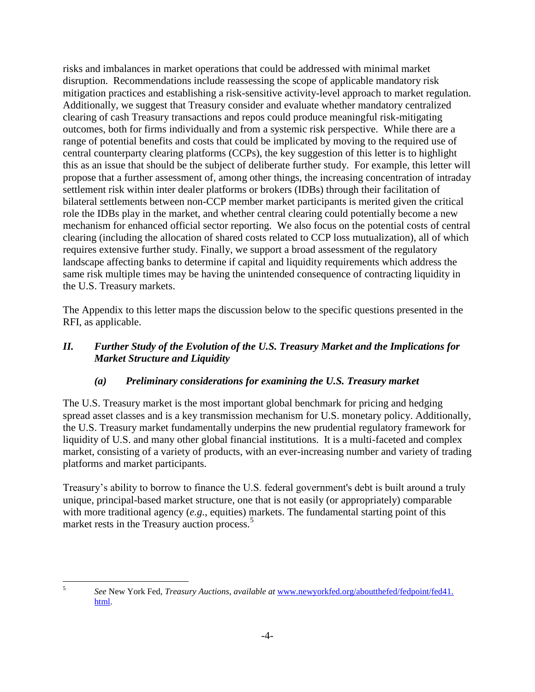risks and imbalances in market operations that could be addressed with minimal market disruption. Recommendations include reassessing the scope of applicable mandatory risk mitigation practices and establishing a risk-sensitive activity-level approach to market regulation. Additionally, we suggest that Treasury consider and evaluate whether mandatory centralized clearing of cash Treasury transactions and repos could produce meaningful risk-mitigating outcomes, both for firms individually and from a systemic risk perspective. While there are a range of potential benefits and costs that could be implicated by moving to the required use of central counterparty clearing platforms (CCPs), the key suggestion of this letter is to highlight this as an issue that should be the subject of deliberate further study. For example, this letter will propose that a further assessment of, among other things, the increasing concentration of intraday settlement risk within inter dealer platforms or brokers (IDBs) through their facilitation of bilateral settlements between non-CCP member market participants is merited given the critical role the IDBs play in the market, and whether central clearing could potentially become a new mechanism for enhanced official sector reporting. We also focus on the potential costs of central clearing (including the allocation of shared costs related to CCP loss mutualization), all of which requires extensive further study. Finally, we support a broad assessment of the regulatory landscape affecting banks to determine if capital and liquidity requirements which address the same risk multiple times may be having the unintended consequence of contracting liquidity in the U.S. Treasury markets.

The Appendix to this letter maps the discussion below to the specific questions presented in the RFI, as applicable.

## *II. Further Study of the Evolution of the U.S. Treasury Market and the Implications for Market Structure and Liquidity*

## *(a) Preliminary considerations for examining the U.S. Treasury market*

The U.S. Treasury market is the most important global benchmark for pricing and hedging spread asset classes and is a key transmission mechanism for U.S. monetary policy. Additionally, the U.S. Treasury market fundamentally underpins the new prudential regulatory framework for liquidity of U.S. and many other global financial institutions. It is a multi-faceted and complex market, consisting of a variety of products, with an ever-increasing number and variety of trading platforms and market participants.

Treasury's ability to borrow to finance the U.S. federal government's debt is built around a truly unique, principal-based market structure, one that is not easily (or appropriately) comparable with more traditional agency (*e.g.*, equities) markets. The fundamental starting point of this market rests in the Treasury auction process.<sup>5</sup>

5

*See* New York Fed, *Treasury Auctions*, *available at* [www.newyorkfed.org/aboutthefed/fedpoint/fed41.](http://www.newyorkfed.org/aboutthefed/fedpoint/fed41.%20html)  [html.](http://www.newyorkfed.org/aboutthefed/fedpoint/fed41.%20html)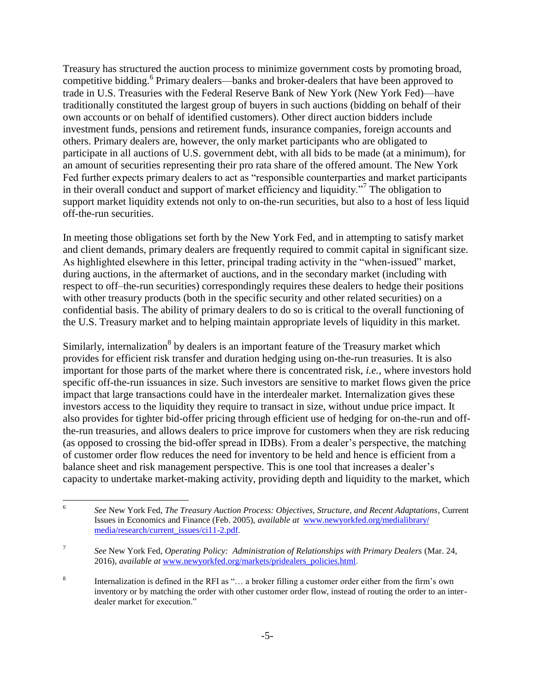Treasury has structured the auction process to minimize government costs by promoting broad, competitive bidding.<sup>6</sup> Primary dealers—banks and broker-dealers that have been approved to trade in U.S. Treasuries with the Federal Reserve Bank of New York (New York Fed)—have traditionally constituted the largest group of buyers in such auctions (bidding on behalf of their own accounts or on behalf of identified customers). Other direct auction bidders include investment funds, pensions and retirement funds, insurance companies, foreign accounts and others. Primary dealers are, however, the only market participants who are obligated to participate in all auctions of U.S. government debt, with all bids to be made (at a minimum), for an amount of securities representing their pro rata share of the offered amount. The New York Fed further expects primary dealers to act as "responsible counterparties and market participants in their overall conduct and support of market efficiency and liquidity."<sup>7</sup> The obligation to support market liquidity extends not only to on-the-run securities, but also to a host of less liquid off-the-run securities.

In meeting those obligations set forth by the New York Fed, and in attempting to satisfy market and client demands, primary dealers are frequently required to commit capital in significant size. As highlighted elsewhere in this letter, principal trading activity in the "when-issued" market, during auctions, in the aftermarket of auctions, and in the secondary market (including with respect to off–the-run securities) correspondingly requires these dealers to hedge their positions with other treasury products (both in the specific security and other related securities) on a confidential basis. The ability of primary dealers to do so is critical to the overall functioning of the U.S. Treasury market and to helping maintain appropriate levels of liquidity in this market.

Similarly, internalization<sup>8</sup> by dealers is an important feature of the Treasury market which provides for efficient risk transfer and duration hedging using on-the-run treasuries. It is also important for those parts of the market where there is concentrated risk, *i.e.*, where investors hold specific off-the-run issuances in size. Such investors are sensitive to market flows given the price impact that large transactions could have in the interdealer market. Internalization gives these investors access to the liquidity they require to transact in size, without undue price impact. It also provides for tighter bid-offer pricing through efficient use of hedging for on-the-run and offthe-run treasuries, and allows dealers to price improve for customers when they are risk reducing (as opposed to crossing the bid-offer spread in IDBs). From a dealer's perspective, the matching of customer order flow reduces the need for inventory to be held and hence is efficient from a balance sheet and risk management perspective. This is one tool that increases a dealer's capacity to undertake market-making activity, providing depth and liquidity to the market, which

 6 *See* New York Fed, *The Treasury Auction Process: Objectives, Structure, and Recent Adaptations*, Current Issues in Economics and Finance (Feb. 2005), *available at* [www.newyorkfed.org/medialibrary/](http://www.newyorkfed.org/medialibrary/%20media/research/current_issues/ci11-2.pdf)  [media/research/current\\_issues/ci11-2.pdf.](http://www.newyorkfed.org/medialibrary/%20media/research/current_issues/ci11-2.pdf)

<sup>7</sup> *See* New York Fed, *Operating Policy: Administration of Relationships with Primary Dealers* (Mar. 24, 2016), *available at* [www.newyorkfed.org/markets/pridealers\\_policies.html.](http://www.newyorkfed.org/markets/pridealers_policies.html)

<sup>8</sup> Internalization is defined in the RFI as "… a broker filling a customer order either from the firm's own inventory or by matching the order with other customer order flow, instead of routing the order to an interdealer market for execution."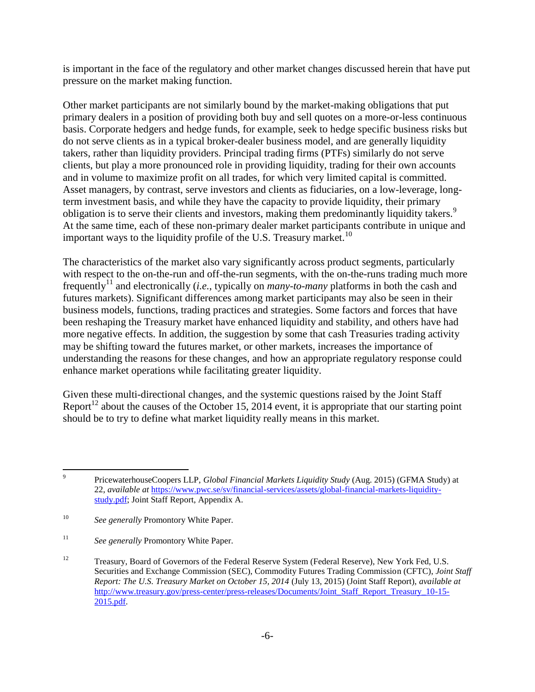is important in the face of the regulatory and other market changes discussed herein that have put pressure on the market making function.

Other market participants are not similarly bound by the market-making obligations that put primary dealers in a position of providing both buy and sell quotes on a more-or-less continuous basis. Corporate hedgers and hedge funds, for example, seek to hedge specific business risks but do not serve clients as in a typical broker-dealer business model, and are generally liquidity takers, rather than liquidity providers. Principal trading firms (PTFs) similarly do not serve clients, but play a more pronounced role in providing liquidity, trading for their own accounts and in volume to maximize profit on all trades, for which very limited capital is committed. Asset managers, by contrast, serve investors and clients as fiduciaries, on a low-leverage, longterm investment basis, and while they have the capacity to provide liquidity, their primary obligation is to serve their clients and investors, making them predominantly liquidity takers.<sup>9</sup> At the same time, each of these non-primary dealer market participants contribute in unique and important ways to the liquidity profile of the U.S. Treasury market.<sup>10</sup>

The characteristics of the market also vary significantly across product segments, particularly with respect to the on-the-run and off-the-run segments, with the on-the-runs trading much more frequently<sup>11</sup> and electronically (*i.e.*, typically on *many-to-many* platforms in both the cash and futures markets). Significant differences among market participants may also be seen in their business models, functions, trading practices and strategies. Some factors and forces that have been reshaping the Treasury market have enhanced liquidity and stability, and others have had more negative effects. In addition, the suggestion by some that cash Treasuries trading activity may be shifting toward the futures market, or other markets, increases the importance of understanding the reasons for these changes, and how an appropriate regulatory response could enhance market operations while facilitating greater liquidity.

Given these multi-directional changes, and the systemic questions raised by the Joint Staff Report<sup>12</sup> about the causes of the October 15, 2014 event, it is appropriate that our starting point should be to try to define what market liquidity really means in this market.

<sup>-&</sup>lt;br>9 PricewaterhouseCoopers LLP, *Global Financial Markets Liquidity Study* (Aug. 2015) (GFMA Study) at 22, *available at* [https://www.pwc.se/sv/financial-services/assets/global-financial-markets-liquidity](https://www.pwc.se/sv/financial-services/assets/global-financial-markets-liquidity-study.pdf)[study.pdf;](https://www.pwc.se/sv/financial-services/assets/global-financial-markets-liquidity-study.pdf) Joint Staff Report, Appendix A.

<sup>10</sup> *See generally* Promontory White Paper.

<sup>&</sup>lt;sup>11</sup> *See generally Promontory White Paper.* 

<sup>&</sup>lt;sup>12</sup> Treasury, Board of Governors of the Federal Reserve System (Federal Reserve), New York Fed, U.S. Securities and Exchange Commission (SEC), Commodity Futures Trading Commission (CFTC), *Joint Staff Report: The U.S. Treasury Market on October 15, 2014* (July 13, 2015) (Joint Staff Report), *available at*  [http://www.treasury.gov/press-center/press-releases/Documents/Joint\\_Staff\\_Report\\_Treasury\\_10-15-](http://www.treasury.gov/press-center/press-releases/Documents/Joint_Staff_Report_Treasury_10-15-2015.pdf) [2015.pdf.](http://www.treasury.gov/press-center/press-releases/Documents/Joint_Staff_Report_Treasury_10-15-2015.pdf)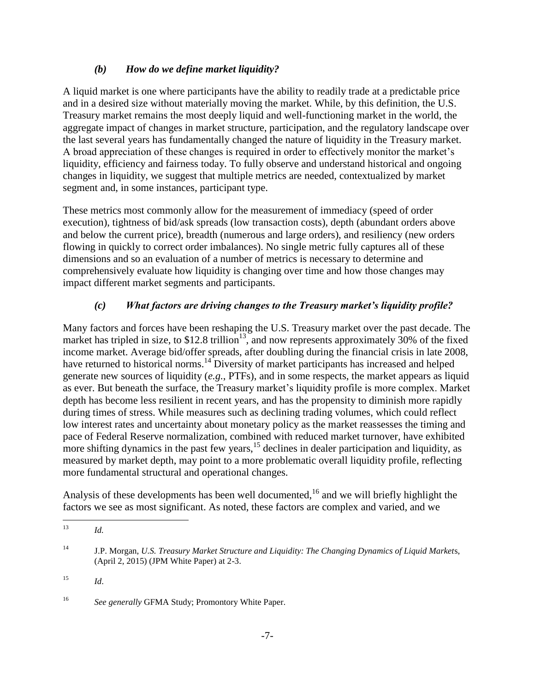#### *(b) How do we define market liquidity?*

A liquid market is one where participants have the ability to readily trade at a predictable price and in a desired size without materially moving the market. While, by this definition, the U.S. Treasury market remains the most deeply liquid and well-functioning market in the world, the aggregate impact of changes in market structure, participation, and the regulatory landscape over the last several years has fundamentally changed the nature of liquidity in the Treasury market. A broad appreciation of these changes is required in order to effectively monitor the market's liquidity, efficiency and fairness today. To fully observe and understand historical and ongoing changes in liquidity, we suggest that multiple metrics are needed, contextualized by market segment and, in some instances, participant type.

These metrics most commonly allow for the measurement of immediacy (speed of order execution), tightness of bid/ask spreads (low transaction costs), depth (abundant orders above and below the current price), breadth (numerous and large orders), and resiliency (new orders flowing in quickly to correct order imbalances). No single metric fully captures all of these dimensions and so an evaluation of a number of metrics is necessary to determine and comprehensively evaluate how liquidity is changing over time and how those changes may impact different market segments and participants.

## *(c) What factors are driving changes to the Treasury market's liquidity profile?*

Many factors and forces have been reshaping the U.S. Treasury market over the past decade. The market has tripled in size, to \$12.8 trillion<sup>13</sup>, and now represents approximately 30% of the fixed income market. Average bid/offer spreads, after doubling during the financial crisis in late 2008, have returned to historical norms.<sup>14</sup> Diversity of market participants has increased and helped generate new sources of liquidity (*e.g.*, PTFs), and in some respects, the market appears as liquid as ever. But beneath the surface, the Treasury market's liquidity profile is more complex. Market depth has become less resilient in recent years, and has the propensity to diminish more rapidly during times of stress. While measures such as declining trading volumes, which could reflect low interest rates and uncertainty about monetary policy as the market reassesses the timing and pace of Federal Reserve normalization, combined with reduced market turnover, have exhibited more shifting dynamics in the past few years,  $15$  declines in dealer participation and liquidity, as measured by market depth, may point to a more problematic overall liquidity profile, reflecting more fundamental structural and operational changes.

Analysis of these developments has been well documented,  $^{16}$  and we will briefly highlight the factors we see as most significant. As noted, these factors are complex and varied, and we

 $13$ <sup>13</sup> *Id.*

<sup>14</sup> J.P. Morgan, *U.S. Treasury Market Structure and Liquidity: The Changing Dynamics of Liquid Market*s, (April 2, 2015) (JPM White Paper) at 2-3.

<sup>15</sup> *Id*.

<sup>16</sup> *See generally* GFMA Study; Promontory White Paper.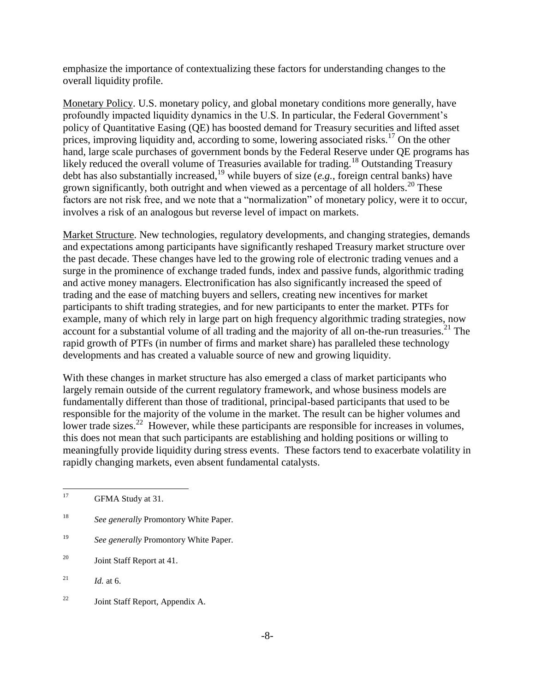emphasize the importance of contextualizing these factors for understanding changes to the overall liquidity profile.

Monetary Policy. U.S. monetary policy, and global monetary conditions more generally, have profoundly impacted liquidity dynamics in the U.S. In particular, the Federal Government's policy of Quantitative Easing (QE) has boosted demand for Treasury securities and lifted asset prices, improving liquidity and, according to some, lowering associated risks.<sup>17</sup> On the other hand, large scale purchases of government bonds by the Federal Reserve under QE programs has likely reduced the overall volume of Treasuries available for trading.<sup>18</sup> Outstanding Treasury debt has also substantially increased,<sup>19</sup> while buyers of size  $(e.g.,$  foreign central banks) have grown significantly, both outright and when viewed as a percentage of all holders.<sup>20</sup> These factors are not risk free, and we note that a "normalization" of monetary policy, were it to occur, involves a risk of an analogous but reverse level of impact on markets.

Market Structure. New technologies, regulatory developments, and changing strategies, demands and expectations among participants have significantly reshaped Treasury market structure over the past decade. These changes have led to the growing role of electronic trading venues and a surge in the prominence of exchange traded funds, index and passive funds, algorithmic trading and active money managers. Electronification has also significantly increased the speed of trading and the ease of matching buyers and sellers, creating new incentives for market participants to shift trading strategies, and for new participants to enter the market. PTFs for example, many of which rely in large part on high frequency algorithmic trading strategies, now account for a substantial volume of all trading and the majority of all on-the-run treasuries.<sup>21</sup> The rapid growth of PTFs (in number of firms and market share) has paralleled these technology developments and has created a valuable source of new and growing liquidity.

With these changes in market structure has also emerged a class of market participants who largely remain outside of the current regulatory framework, and whose business models are fundamentally different than those of traditional, principal-based participants that used to be responsible for the majority of the volume in the market. The result can be higher volumes and lower trade sizes.<sup>22</sup> However, while these participants are responsible for increases in volumes, this does not mean that such participants are establishing and holding positions or willing to meaningfully provide liquidity during stress events. These factors tend to exacerbate volatility in rapidly changing markets, even absent fundamental catalysts.

- <sup>18</sup> *See generally* Promontory White Paper.
- <sup>19</sup> *See generally* Promontory White Paper.
- <sup>20</sup> Joint Staff Report at 41.
- <sup>21</sup> *Id.* at 6.
- <sup>22</sup> Joint Staff Report, Appendix A.

 $17\,$ GFMA Study at 31.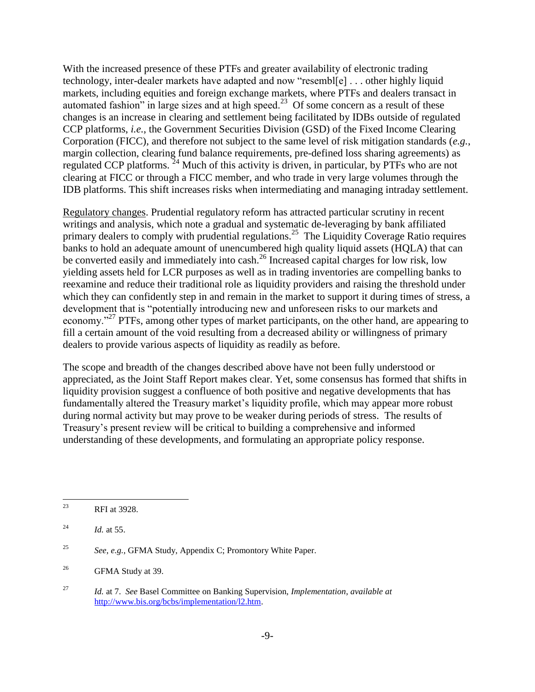With the increased presence of these PTFs and greater availability of electronic trading technology, inter-dealer markets have adapted and now "resembl[e] . . . other highly liquid markets, including equities and foreign exchange markets, where PTFs and dealers transact in automated fashion" in large sizes and at high speed.<sup>23</sup> Of some concern as a result of these changes is an increase in clearing and settlement being facilitated by IDBs outside of regulated CCP platforms, *i.e.*, the Government Securities Division (GSD) of the Fixed Income Clearing Corporation (FICC), and therefore not subject to the same level of risk mitigation standards (*e.g.*, margin collection, clearing fund balance requirements, pre-defined loss sharing agreements) as regulated CCP platforms.<sup>24</sup> Much of this activity is driven, in particular, by PTFs who are not clearing at FICC or through a FICC member, and who trade in very large volumes through the IDB platforms. This shift increases risks when intermediating and managing intraday settlement.

Regulatory changes. Prudential regulatory reform has attracted particular scrutiny in recent writings and analysis, which note a gradual and systematic de-leveraging by bank affiliated primary dealers to comply with prudential regulations.<sup>25</sup> The Liquidity Coverage Ratio requires banks to hold an adequate amount of unencumbered high quality liquid assets (HQLA) that can be converted easily and immediately into cash.<sup>26</sup> Increased capital charges for low risk, low yielding assets held for LCR purposes as well as in trading inventories are compelling banks to reexamine and reduce their traditional role as liquidity providers and raising the threshold under which they can confidently step in and remain in the market to support it during times of stress, a development that is "potentially introducing new and unforeseen risks to our markets and economy."<sup>27</sup> PTFs, among other types of market participants, on the other hand, are appearing to fill a certain amount of the void resulting from a decreased ability or willingness of primary dealers to provide various aspects of liquidity as readily as before.

The scope and breadth of the changes described above have not been fully understood or appreciated, as the Joint Staff Report makes clear. Yet, some consensus has formed that shifts in liquidity provision suggest a confluence of both positive and negative developments that has fundamentally altered the Treasury market's liquidity profile, which may appear more robust during normal activity but may prove to be weaker during periods of stress. The results of Treasury's present review will be critical to building a comprehensive and informed understanding of these developments, and formulating an appropriate policy response.

<sup>23</sup> RFI at 3928.

<sup>&</sup>lt;sup>24</sup> *Id.* at 55.

<sup>25</sup> *See*, *e.g.*, GFMA Study, Appendix C; Promontory White Paper.

<sup>&</sup>lt;sup>26</sup> GFMA Study at 39.

<sup>27</sup> *Id.* at 7. *See* Basel Committee on Banking Supervision, *Implementation*, *available at*  [http://www.bis.org/bcbs/implementation/l2.htm.](http://www.bis.org/bcbs/implementation/l2.htm)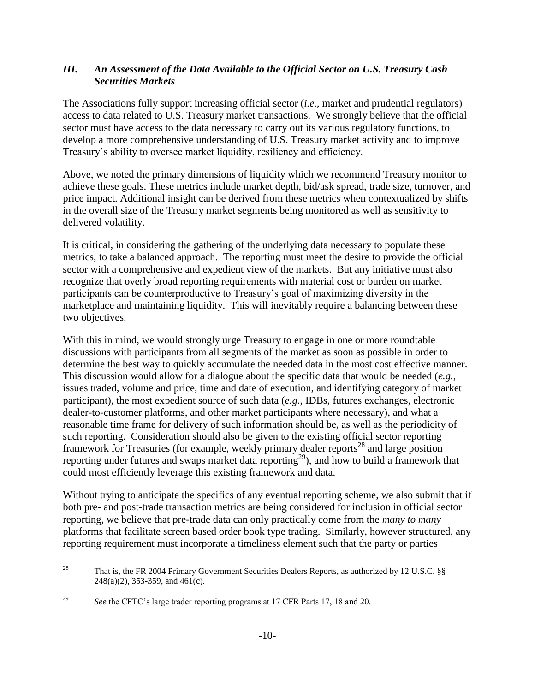#### *III. An Assessment of the Data Available to the Official Sector on U.S. Treasury Cash Securities Markets*

The Associations fully support increasing official sector (*i.e.*, market and prudential regulators) access to data related to U.S. Treasury market transactions. We strongly believe that the official sector must have access to the data necessary to carry out its various regulatory functions, to develop a more comprehensive understanding of U.S. Treasury market activity and to improve Treasury's ability to oversee market liquidity, resiliency and efficiency.

Above, we noted the primary dimensions of liquidity which we recommend Treasury monitor to achieve these goals. These metrics include market depth, bid/ask spread, trade size, turnover, and price impact. Additional insight can be derived from these metrics when contextualized by shifts in the overall size of the Treasury market segments being monitored as well as sensitivity to delivered volatility.

It is critical, in considering the gathering of the underlying data necessary to populate these metrics, to take a balanced approach. The reporting must meet the desire to provide the official sector with a comprehensive and expedient view of the markets. But any initiative must also recognize that overly broad reporting requirements with material cost or burden on market participants can be counterproductive to Treasury's goal of maximizing diversity in the marketplace and maintaining liquidity. This will inevitably require a balancing between these two objectives.

With this in mind, we would strongly urge Treasury to engage in one or more roundtable discussions with participants from all segments of the market as soon as possible in order to determine the best way to quickly accumulate the needed data in the most cost effective manner. This discussion would allow for a dialogue about the specific data that would be needed (*e.g.*, issues traded, volume and price, time and date of execution, and identifying category of market participant), the most expedient source of such data (*e.g*., IDBs, futures exchanges, electronic dealer-to-customer platforms, and other market participants where necessary), and what a reasonable time frame for delivery of such information should be, as well as the periodicity of such reporting. Consideration should also be given to the existing official sector reporting framework for Treasuries (for example, weekly primary dealer reports<sup>28</sup> and large position reporting under futures and swaps market data reporting<sup>29</sup>), and how to build a framework that could most efficiently leverage this existing framework and data.

Without trying to anticipate the specifics of any eventual reporting scheme, we also submit that if both pre- and post-trade transaction metrics are being considered for inclusion in official sector reporting, we believe that pre-trade data can only practically come from the *many to many* platforms that facilitate screen based order book type trading. Similarly, however structured, any reporting requirement must incorporate a timeliness element such that the party or parties

 $28\,$ <sup>28</sup> That is, the FR 2004 Primary Government Securities Dealers Reports, as authorized by 12 U.S.C. §§ 248(a)(2), 353-359, and 461(c).

<sup>&</sup>lt;sup>29</sup> *See* the CFTC's large trader reporting programs at 17 CFR Parts 17, 18 and 20.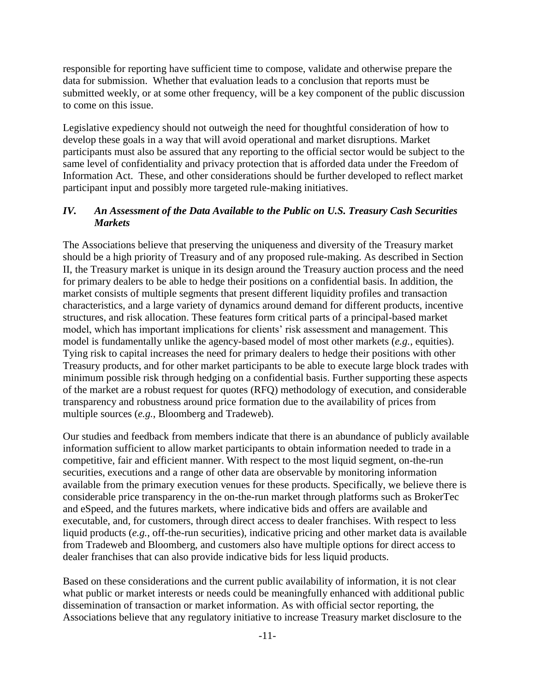responsible for reporting have sufficient time to compose, validate and otherwise prepare the data for submission. Whether that evaluation leads to a conclusion that reports must be submitted weekly, or at some other frequency, will be a key component of the public discussion to come on this issue.

Legislative expediency should not outweigh the need for thoughtful consideration of how to develop these goals in a way that will avoid operational and market disruptions. Market participants must also be assured that any reporting to the official sector would be subject to the same level of confidentiality and privacy protection that is afforded data under the Freedom of Information Act. These, and other considerations should be further developed to reflect market participant input and possibly more targeted rule-making initiatives.

#### *IV. An Assessment of the Data Available to the Public on U.S. Treasury Cash Securities Markets*

The Associations believe that preserving the uniqueness and diversity of the Treasury market should be a high priority of Treasury and of any proposed rule-making. As described in Section II, the Treasury market is unique in its design around the Treasury auction process and the need for primary dealers to be able to hedge their positions on a confidential basis. In addition, the market consists of multiple segments that present different liquidity profiles and transaction characteristics, and a large variety of dynamics around demand for different products, incentive structures, and risk allocation. These features form critical parts of a principal-based market model, which has important implications for clients' risk assessment and management. This model is fundamentally unlike the agency-based model of most other markets (*e.g.*, equities). Tying risk to capital increases the need for primary dealers to hedge their positions with other Treasury products, and for other market participants to be able to execute large block trades with minimum possible risk through hedging on a confidential basis. Further supporting these aspects of the market are a robust request for quotes (RFQ) methodology of execution, and considerable transparency and robustness around price formation due to the availability of prices from multiple sources (*e.g.*, Bloomberg and Tradeweb).

Our studies and feedback from members indicate that there is an abundance of publicly available information sufficient to allow market participants to obtain information needed to trade in a competitive, fair and efficient manner. With respect to the most liquid segment, on-the-run securities, executions and a range of other data are observable by monitoring information available from the primary execution venues for these products. Specifically, we believe there is considerable price transparency in the on-the-run market through platforms such as BrokerTec and eSpeed, and the futures markets, where indicative bids and offers are available and executable, and, for customers, through direct access to dealer franchises. With respect to less liquid products (*e.g.*, off-the-run securities), indicative pricing and other market data is available from Tradeweb and Bloomberg, and customers also have multiple options for direct access to dealer franchises that can also provide indicative bids for less liquid products.

Based on these considerations and the current public availability of information, it is not clear what public or market interests or needs could be meaningfully enhanced with additional public dissemination of transaction or market information. As with official sector reporting, the Associations believe that any regulatory initiative to increase Treasury market disclosure to the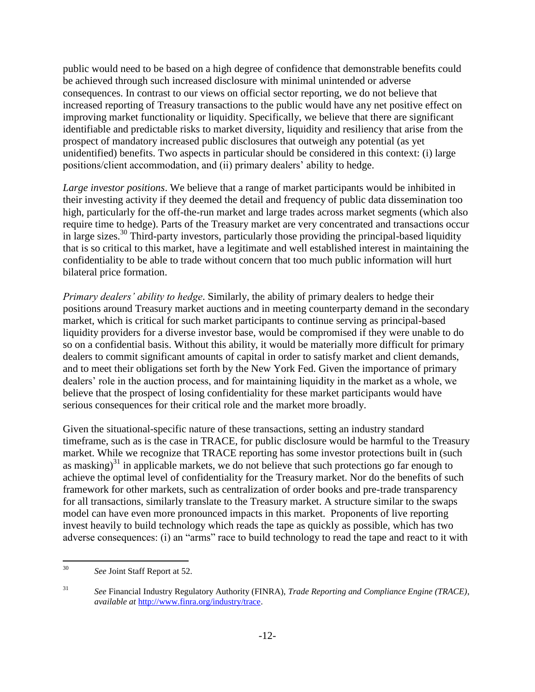public would need to be based on a high degree of confidence that demonstrable benefits could be achieved through such increased disclosure with minimal unintended or adverse consequences. In contrast to our views on official sector reporting, we do not believe that increased reporting of Treasury transactions to the public would have any net positive effect on improving market functionality or liquidity. Specifically, we believe that there are significant identifiable and predictable risks to market diversity, liquidity and resiliency that arise from the prospect of mandatory increased public disclosures that outweigh any potential (as yet unidentified) benefits. Two aspects in particular should be considered in this context: (i) large positions/client accommodation, and (ii) primary dealers' ability to hedge.

*Large investor positions*. We believe that a range of market participants would be inhibited in their investing activity if they deemed the detail and frequency of public data dissemination too high, particularly for the off-the-run market and large trades across market segments (which also require time to hedge). Parts of the Treasury market are very concentrated and transactions occur in large sizes.<sup>30</sup> Third-party investors, particularly those providing the principal-based liquidity that is so critical to this market, have a legitimate and well established interest in maintaining the confidentiality to be able to trade without concern that too much public information will hurt bilateral price formation.

*Primary dealers' ability to hedge*. Similarly, the ability of primary dealers to hedge their positions around Treasury market auctions and in meeting counterparty demand in the secondary market, which is critical for such market participants to continue serving as principal-based liquidity providers for a diverse investor base, would be compromised if they were unable to do so on a confidential basis. Without this ability, it would be materially more difficult for primary dealers to commit significant amounts of capital in order to satisfy market and client demands, and to meet their obligations set forth by the New York Fed. Given the importance of primary dealers' role in the auction process, and for maintaining liquidity in the market as a whole, we believe that the prospect of losing confidentiality for these market participants would have serious consequences for their critical role and the market more broadly.

Given the situational-specific nature of these transactions, setting an industry standard timeframe, such as is the case in TRACE, for public disclosure would be harmful to the Treasury market. While we recognize that TRACE reporting has some investor protections built in (such as masking)<sup>31</sup> in applicable markets, we do not believe that such protections go far enough to achieve the optimal level of confidentiality for the Treasury market. Nor do the benefits of such framework for other markets, such as centralization of order books and pre-trade transparency for all transactions, similarly translate to the Treasury market. A structure similar to the swaps model can have even more pronounced impacts in this market. Proponents of live reporting invest heavily to build technology which reads the tape as quickly as possible, which has two adverse consequences: (i) an "arms" race to build technology to read the tape and react to it with

 $30\,$ See Joint Staff Report at 52.

<sup>31</sup> *See* Financial Industry Regulatory Authority (FINRA), *Trade Reporting and Compliance Engine (TRACE)*, *available at* [http://www.finra.org/industry/trace.](http://www.finra.org/industry/trace)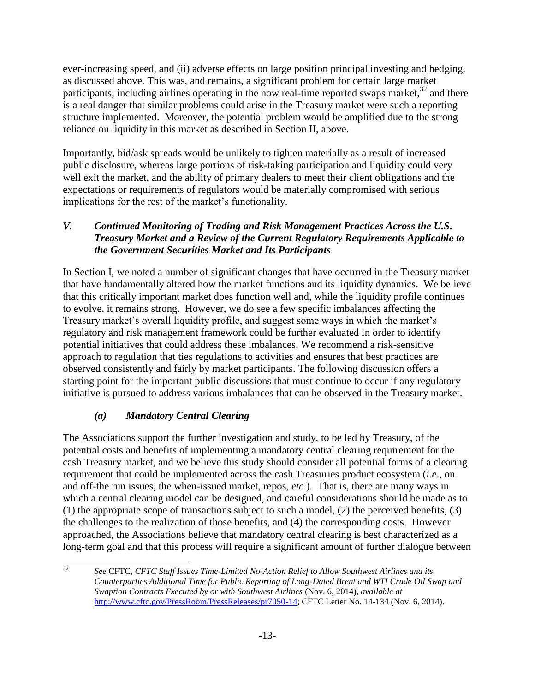ever-increasing speed, and (ii) adverse effects on large position principal investing and hedging, as discussed above. This was, and remains, a significant problem for certain large market participants, including airlines operating in the now real-time reported swaps market, $32$  and there is a real danger that similar problems could arise in the Treasury market were such a reporting structure implemented. Moreover, the potential problem would be amplified due to the strong reliance on liquidity in this market as described in Section II, above.

Importantly, bid/ask spreads would be unlikely to tighten materially as a result of increased public disclosure, whereas large portions of risk-taking participation and liquidity could very well exit the market, and the ability of primary dealers to meet their client obligations and the expectations or requirements of regulators would be materially compromised with serious implications for the rest of the market's functionality.

## *V. Continued Monitoring of Trading and Risk Management Practices Across the U.S. Treasury Market and a Review of the Current Regulatory Requirements Applicable to the Government Securities Market and Its Participants*

In Section I, we noted a number of significant changes that have occurred in the Treasury market that have fundamentally altered how the market functions and its liquidity dynamics. We believe that this critically important market does function well and, while the liquidity profile continues to evolve, it remains strong. However, we do see a few specific imbalances affecting the Treasury market's overall liquidity profile, and suggest some ways in which the market's regulatory and risk management framework could be further evaluated in order to identify potential initiatives that could address these imbalances. We recommend a risk-sensitive approach to regulation that ties regulations to activities and ensures that best practices are observed consistently and fairly by market participants. The following discussion offers a starting point for the important public discussions that must continue to occur if any regulatory initiative is pursued to address various imbalances that can be observed in the Treasury market.

## *(a) Mandatory Central Clearing*

The Associations support the further investigation and study, to be led by Treasury, of the potential costs and benefits of implementing a mandatory central clearing requirement for the cash Treasury market, and we believe this study should consider all potential forms of a clearing requirement that could be implemented across the cash Treasuries product ecosystem (*i.e.*, on and off-the run issues, the when-issued market, repos, *etc*.). That is, there are many ways in which a central clearing model can be designed, and careful considerations should be made as to (1) the appropriate scope of transactions subject to such a model, (2) the perceived benefits, (3) the challenges to the realization of those benefits, and (4) the corresponding costs. However approached, the Associations believe that mandatory central clearing is best characterized as a long-term goal and that this process will require a significant amount of further dialogue between

 $32$ <sup>32</sup> *See* CFTC, *CFTC Staff Issues Time-Limited No-Action Relief to Allow Southwest Airlines and its Counterparties Additional Time for Public Reporting of Long-Dated Brent and WTI Crude Oil Swap and Swaption Contracts Executed by or with Southwest Airlines* (Nov. 6, 2014), *available at*  [http://www.cftc.gov/PressRoom/PressReleases/pr7050-14;](http://www.cftc.gov/PressRoom/PressReleases/pr7050-14) CFTC Letter No. 14-134 (Nov. 6, 2014).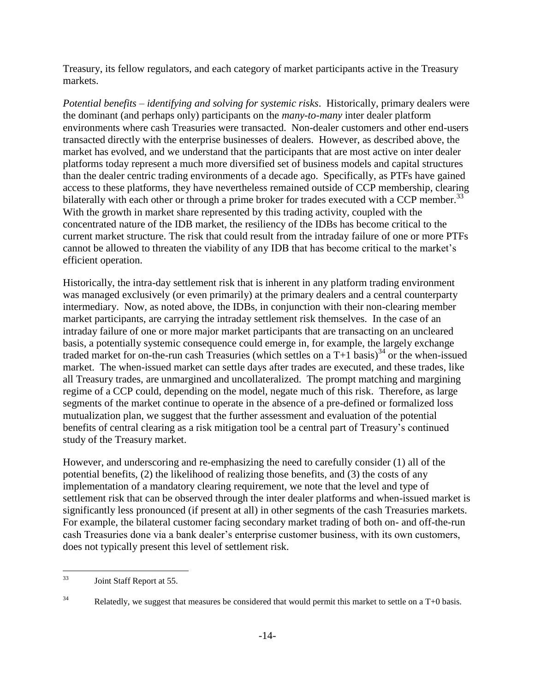Treasury, its fellow regulators, and each category of market participants active in the Treasury markets.

*Potential benefits – identifying and solving for systemic risks*. Historically, primary dealers were the dominant (and perhaps only) participants on the *many-to-many* inter dealer platform environments where cash Treasuries were transacted. Non-dealer customers and other end-users transacted directly with the enterprise businesses of dealers. However, as described above, the market has evolved, and we understand that the participants that are most active on inter dealer platforms today represent a much more diversified set of business models and capital structures than the dealer centric trading environments of a decade ago. Specifically, as PTFs have gained access to these platforms, they have nevertheless remained outside of CCP membership, clearing bilaterally with each other or through a prime broker for trades executed with a CCP member.<sup>33</sup> With the growth in market share represented by this trading activity, coupled with the concentrated nature of the IDB market, the resiliency of the IDBs has become critical to the current market structure. The risk that could result from the intraday failure of one or more PTFs cannot be allowed to threaten the viability of any IDB that has become critical to the market's efficient operation.

Historically, the intra-day settlement risk that is inherent in any platform trading environment was managed exclusively (or even primarily) at the primary dealers and a central counterparty intermediary. Now, as noted above, the IDBs, in conjunction with their non-clearing member market participants, are carrying the intraday settlement risk themselves. In the case of an intraday failure of one or more major market participants that are transacting on an uncleared basis, a potentially systemic consequence could emerge in, for example, the largely exchange traded market for on-the-run cash Treasuries (which settles on a  $T+1$  basis)<sup>34</sup> or the when-issued market. The when-issued market can settle days after trades are executed, and these trades, like all Treasury trades, are unmargined and uncollateralized. The prompt matching and margining regime of a CCP could, depending on the model, negate much of this risk. Therefore, as large segments of the market continue to operate in the absence of a pre-defined or formalized loss mutualization plan, we suggest that the further assessment and evaluation of the potential benefits of central clearing as a risk mitigation tool be a central part of Treasury's continued study of the Treasury market.

However, and underscoring and re-emphasizing the need to carefully consider (1) all of the potential benefits, (2) the likelihood of realizing those benefits, and (3) the costs of any implementation of a mandatory clearing requirement, we note that the level and type of settlement risk that can be observed through the inter dealer platforms and when-issued market is significantly less pronounced (if present at all) in other segments of the cash Treasuries markets. For example, the bilateral customer facing secondary market trading of both on- and off-the-run cash Treasuries done via a bank dealer's enterprise customer business, with its own customers, does not typically present this level of settlement risk.

<sup>33</sup> Joint Staff Report at 55.

 $34$  Relatedly, we suggest that measures be considered that would permit this market to settle on a T+0 basis.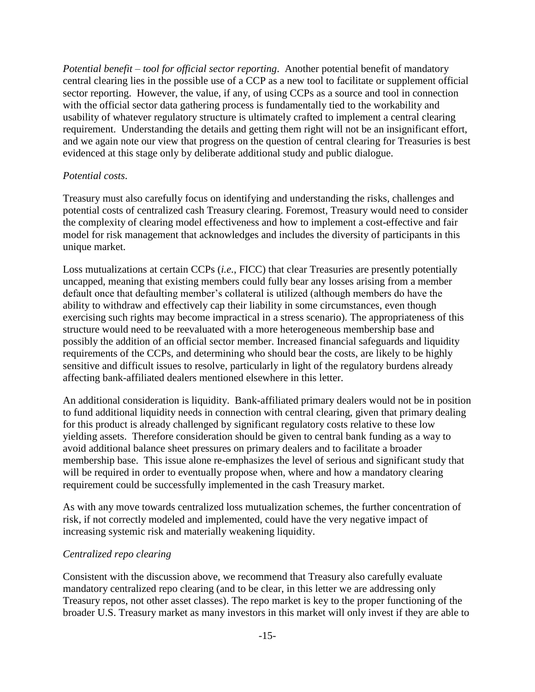*Potential benefit – tool for official sector reporting*. Another potential benefit of mandatory central clearing lies in the possible use of a CCP as a new tool to facilitate or supplement official sector reporting. However, the value, if any, of using CCPs as a source and tool in connection with the official sector data gathering process is fundamentally tied to the workability and usability of whatever regulatory structure is ultimately crafted to implement a central clearing requirement. Understanding the details and getting them right will not be an insignificant effort, and we again note our view that progress on the question of central clearing for Treasuries is best evidenced at this stage only by deliberate additional study and public dialogue.

#### *Potential costs*.

Treasury must also carefully focus on identifying and understanding the risks, challenges and potential costs of centralized cash Treasury clearing. Foremost, Treasury would need to consider the complexity of clearing model effectiveness and how to implement a cost-effective and fair model for risk management that acknowledges and includes the diversity of participants in this unique market.

Loss mutualizations at certain CCPs (*i.e.*, FICC) that clear Treasuries are presently potentially uncapped, meaning that existing members could fully bear any losses arising from a member default once that defaulting member's collateral is utilized (although members do have the ability to withdraw and effectively cap their liability in some circumstances, even though exercising such rights may become impractical in a stress scenario). The appropriateness of this structure would need to be reevaluated with a more heterogeneous membership base and possibly the addition of an official sector member. Increased financial safeguards and liquidity requirements of the CCPs, and determining who should bear the costs, are likely to be highly sensitive and difficult issues to resolve, particularly in light of the regulatory burdens already affecting bank-affiliated dealers mentioned elsewhere in this letter.

An additional consideration is liquidity. Bank-affiliated primary dealers would not be in position to fund additional liquidity needs in connection with central clearing, given that primary dealing for this product is already challenged by significant regulatory costs relative to these low yielding assets. Therefore consideration should be given to central bank funding as a way to avoid additional balance sheet pressures on primary dealers and to facilitate a broader membership base. This issue alone re-emphasizes the level of serious and significant study that will be required in order to eventually propose when, where and how a mandatory clearing requirement could be successfully implemented in the cash Treasury market.

As with any move towards centralized loss mutualization schemes, the further concentration of risk, if not correctly modeled and implemented, could have the very negative impact of increasing systemic risk and materially weakening liquidity.

#### *Centralized repo clearing*

Consistent with the discussion above, we recommend that Treasury also carefully evaluate mandatory centralized repo clearing (and to be clear, in this letter we are addressing only Treasury repos, not other asset classes). The repo market is key to the proper functioning of the broader U.S. Treasury market as many investors in this market will only invest if they are able to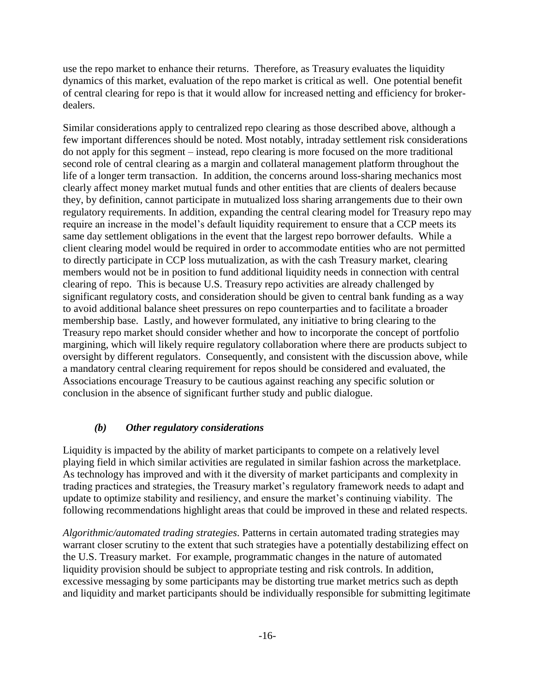use the repo market to enhance their returns. Therefore, as Treasury evaluates the liquidity dynamics of this market, evaluation of the repo market is critical as well. One potential benefit of central clearing for repo is that it would allow for increased netting and efficiency for brokerdealers.

Similar considerations apply to centralized repo clearing as those described above, although a few important differences should be noted. Most notably, intraday settlement risk considerations do not apply for this segment – instead, repo clearing is more focused on the more traditional second role of central clearing as a margin and collateral management platform throughout the life of a longer term transaction. In addition, the concerns around loss-sharing mechanics most clearly affect money market mutual funds and other entities that are clients of dealers because they, by definition, cannot participate in mutualized loss sharing arrangements due to their own regulatory requirements. In addition, expanding the central clearing model for Treasury repo may require an increase in the model's default liquidity requirement to ensure that a CCP meets its same day settlement obligations in the event that the largest repo borrower defaults. While a client clearing model would be required in order to accommodate entities who are not permitted to directly participate in CCP loss mutualization, as with the cash Treasury market, clearing members would not be in position to fund additional liquidity needs in connection with central clearing of repo. This is because U.S. Treasury repo activities are already challenged by significant regulatory costs, and consideration should be given to central bank funding as a way to avoid additional balance sheet pressures on repo counterparties and to facilitate a broader membership base. Lastly, and however formulated, any initiative to bring clearing to the Treasury repo market should consider whether and how to incorporate the concept of portfolio margining, which will likely require regulatory collaboration where there are products subject to oversight by different regulators. Consequently, and consistent with the discussion above, while a mandatory central clearing requirement for repos should be considered and evaluated, the Associations encourage Treasury to be cautious against reaching any specific solution or conclusion in the absence of significant further study and public dialogue.

#### *(b) Other regulatory considerations*

Liquidity is impacted by the ability of market participants to compete on a relatively level playing field in which similar activities are regulated in similar fashion across the marketplace. As technology has improved and with it the diversity of market participants and complexity in trading practices and strategies, the Treasury market's regulatory framework needs to adapt and update to optimize stability and resiliency, and ensure the market's continuing viability. The following recommendations highlight areas that could be improved in these and related respects.

*Algorithmic/automated trading strategies*. Patterns in certain automated trading strategies may warrant closer scrutiny to the extent that such strategies have a potentially destabilizing effect on the U.S. Treasury market. For example, programmatic changes in the nature of automated liquidity provision should be subject to appropriate testing and risk controls. In addition, excessive messaging by some participants may be distorting true market metrics such as depth and liquidity and market participants should be individually responsible for submitting legitimate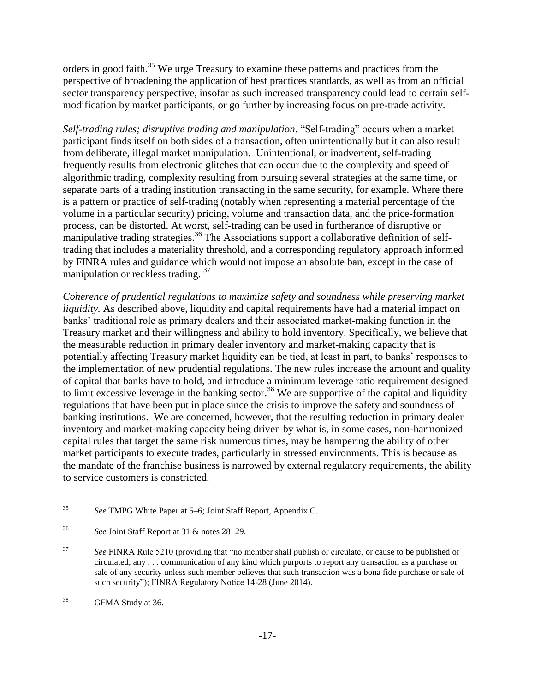orders in good faith.<sup>35</sup> We urge Treasury to examine these patterns and practices from the perspective of broadening the application of best practices standards, as well as from an official sector transparency perspective, insofar as such increased transparency could lead to certain selfmodification by market participants, or go further by increasing focus on pre-trade activity.

*Self-trading rules; disruptive trading and manipulation*. "Self-trading" occurs when a market participant finds itself on both sides of a transaction, often unintentionally but it can also result from deliberate, illegal market manipulation. Unintentional, or inadvertent, self-trading frequently results from electronic glitches that can occur due to the complexity and speed of algorithmic trading, complexity resulting from pursuing several strategies at the same time, or separate parts of a trading institution transacting in the same security, for example. Where there is a pattern or practice of self-trading (notably when representing a material percentage of the volume in a particular security) pricing, volume and transaction data, and the price-formation process, can be distorted. At worst, self-trading can be used in furtherance of disruptive or manipulative trading strategies.<sup>36</sup> The Associations support a collaborative definition of selftrading that includes a materiality threshold, and a corresponding regulatory approach informed by FINRA rules and guidance which would not impose an absolute ban, except in the case of manipulation or reckless trading.  $37$ 

*Coherence of prudential regulations to maximize safety and soundness while preserving market liquidity*. As described above, liquidity and capital requirements have had a material impact on banks' traditional role as primary dealers and their associated market-making function in the Treasury market and their willingness and ability to hold inventory. Specifically, we believe that the measurable reduction in primary dealer inventory and market-making capacity that is potentially affecting Treasury market liquidity can be tied, at least in part, to banks' responses to the implementation of new prudential regulations. The new rules increase the amount and quality of capital that banks have to hold, and introduce a minimum leverage ratio requirement designed to limit excessive leverage in the banking sector.<sup>38</sup> We are supportive of the capital and liquidity regulations that have been put in place since the crisis to improve the safety and soundness of banking institutions. We are concerned, however, that the resulting reduction in primary dealer inventory and market-making capacity being driven by what is, in some cases, non-harmonized capital rules that target the same risk numerous times, may be hampering the ability of other market participants to execute trades, particularly in stressed environments. This is because as the mandate of the franchise business is narrowed by external regulatory requirements, the ability to service customers is constricted.

 $35$ <sup>35</sup> *See* TMPG White Paper at 5–6; Joint Staff Report, Appendix C.

<sup>36</sup> *See* Joint Staff Report at 31 & notes 28–29.

<sup>&</sup>lt;sup>37</sup> *See FINRA Rule 5210 (providing that "no member shall publish or circulate, or cause to be published or* circulated, any . . . communication of any kind which purports to report any transaction as a purchase or sale of any security unless such member believes that such transaction was a bona fide purchase or sale of such security"); FINRA Regulatory Notice 14-28 (June 2014).

<sup>&</sup>lt;sup>38</sup> GFMA Study at 36.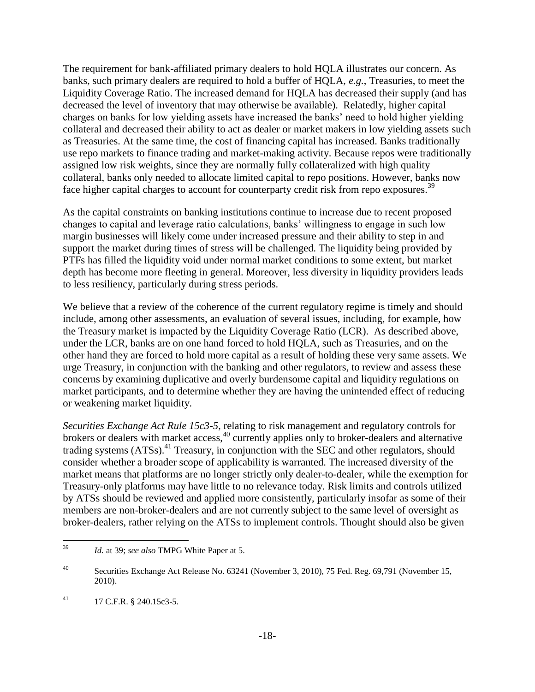The requirement for bank-affiliated primary dealers to hold HQLA illustrates our concern. As banks, such primary dealers are required to hold a buffer of HQLA, *e.g.*, Treasuries, to meet the Liquidity Coverage Ratio. The increased demand for HQLA has decreased their supply (and has decreased the level of inventory that may otherwise be available). Relatedly, higher capital charges on banks for low yielding assets have increased the banks' need to hold higher yielding collateral and decreased their ability to act as dealer or market makers in low yielding assets such as Treasuries. At the same time, the cost of financing capital has increased. Banks traditionally use repo markets to finance trading and market-making activity. Because repos were traditionally assigned low risk weights, since they are normally fully collateralized with high quality collateral, banks only needed to allocate limited capital to repo positions. However, banks now face higher capital charges to account for counterparty credit risk from repo exposures.<sup>39</sup>

As the capital constraints on banking institutions continue to increase due to recent proposed changes to capital and leverage ratio calculations, banks' willingness to engage in such low margin businesses will likely come under increased pressure and their ability to step in and support the market during times of stress will be challenged. The liquidity being provided by PTFs has filled the liquidity void under normal market conditions to some extent, but market depth has become more fleeting in general. Moreover, less diversity in liquidity providers leads to less resiliency, particularly during stress periods.

We believe that a review of the coherence of the current regulatory regime is timely and should include, among other assessments, an evaluation of several issues, including, for example, how the Treasury market is impacted by the Liquidity Coverage Ratio (LCR). As described above, under the LCR, banks are on one hand forced to hold HQLA, such as Treasuries, and on the other hand they are forced to hold more capital as a result of holding these very same assets. We urge Treasury, in conjunction with the banking and other regulators, to review and assess these concerns by examining duplicative and overly burdensome capital and liquidity regulations on market participants, and to determine whether they are having the unintended effect of reducing or weakening market liquidity.

*Securities Exchange Act Rule 15c3-5*, relating to risk management and regulatory controls for brokers or dealers with market access,<sup>40</sup> currently applies only to broker-dealers and alternative trading systems (ATSs).<sup>41</sup> Treasury, in conjunction with the SEC and other regulators, should consider whether a broader scope of applicability is warranted. The increased diversity of the market means that platforms are no longer strictly only dealer-to-dealer, while the exemption for Treasury-only platforms may have little to no relevance today. Risk limits and controls utilized by ATSs should be reviewed and applied more consistently, particularly insofar as some of their members are non-broker-dealers and are not currently subject to the same level of oversight as broker-dealers, rather relying on the ATSs to implement controls. Thought should also be given

 $39$ Id. at 39; see also TMPG White Paper at 5.

<sup>&</sup>lt;sup>40</sup> Securities Exchange Act Release No. 63241 (November 3, 2010), 75 Fed. Reg. 69,791 (November 15, 2010).

 $^{41}$  17 C.F.R. § 240.15c3-5.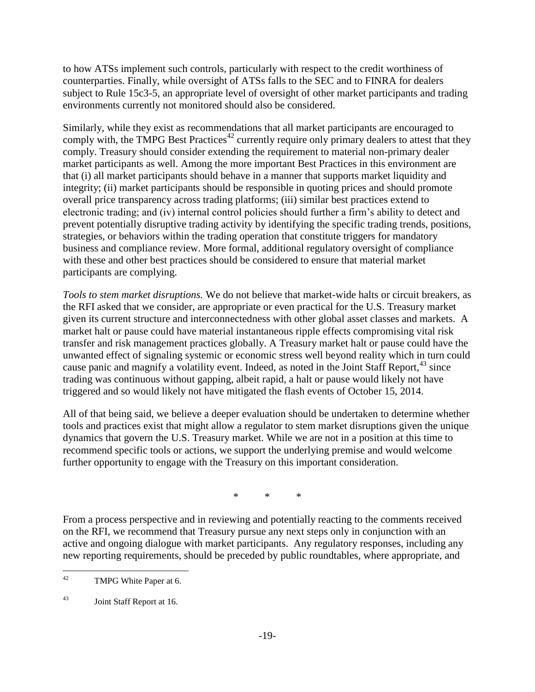to how ATSs implement such controls, particularly with respect to the credit worthiness of counterparties. Finally, while oversight of ATSs falls to the SEC and to FINRA for dealers subject to Rule 15c3-5, an appropriate level of oversight of other market participants and trading environments currently not monitored should also be considered.

Similarly, while they exist as recommendations that all market participants are encouraged to comply with, the TMPG Best Practices<sup>42</sup> currently require only primary dealers to attest that they comply. Treasury should consider extending the requirement to material non-primary dealer market participants as well. Among the more important Best Practices in this environment are that (i) all market participants should behave in a manner that supports market liquidity and integrity; (ii) market participants should be responsible in quoting prices and should promote overall price transparency across trading platforms; (iii) similar best practices extend to electronic trading; and (iv) internal control policies should further a firm's ability to detect and prevent potentially disruptive trading activity by identifying the specific trading trends, positions, strategies, or behaviors within the trading operation that constitute triggers for mandatory business and compliance review. More formal, additional regulatory oversight of compliance with these and other best practices should be considered to ensure that material market participants are complying.

*Tools to stem market disruptions.* We do not believe that market-wide halts or circuit breakers, as the RFI asked that we consider, are appropriate or even practical for the U.S. Treasury market given its current structure and interconnectedness with other global asset classes and markets. A market halt or pause could have material instantaneous ripple effects compromising vital risk transfer and risk management practices globally. A Treasury market halt or pause could have the unwanted effect of signaling systemic or economic stress well beyond reality which in turn could cause panic and magnify a volatility event. Indeed, as noted in the Joint Staff Report,<sup>43</sup> since trading was continuous without gapping, albeit rapid, a halt or pause would likely not have triggered and so would likely not have mitigated the flash events of October 15, 2014.

All of that being said, we believe a deeper evaluation should be undertaken to determine whether tools and practices exist that might allow a regulator to stem market disruptions given the unique dynamics that govern the U.S. Treasury market. While we are not in a position at this time to recommend specific tools or actions, we support the underlying premise and would welcome further opportunity to engage with the Treasury on this important consideration.

\* \* \*

From a process perspective and in reviewing and potentially reacting to the comments received on the RFI, we recommend that Treasury pursue any next steps only in conjunction with an active and ongoing dialogue with market participants. Any regulatory responses, including any new reporting requirements, should be preceded by public roundtables, where appropriate, and

 $42 \overline{ }$ TMPG White Paper at 6.

<sup>43</sup> Joint Staff Report at 16.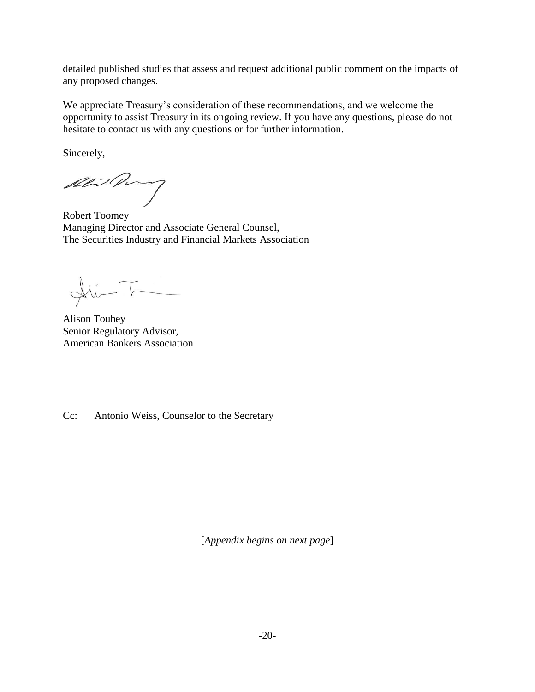detailed published studies that assess and request additional public comment on the impacts of any proposed changes.

We appreciate Treasury's consideration of these recommendations, and we welcome the opportunity to assist Treasury in its ongoing review. If you have any questions, please do not hesitate to contact us with any questions or for further information.

Sincerely,

Abid Pory

Robert Toomey Managing Director and Associate General Counsel, The Securities Industry and Financial Markets Association

 $\frac{1}{\sqrt{2}}$ 

Alison Touhey Senior Regulatory Advisor, American Bankers Association

Cc: Antonio Weiss, Counselor to the Secretary

[*Appendix begins on next page*]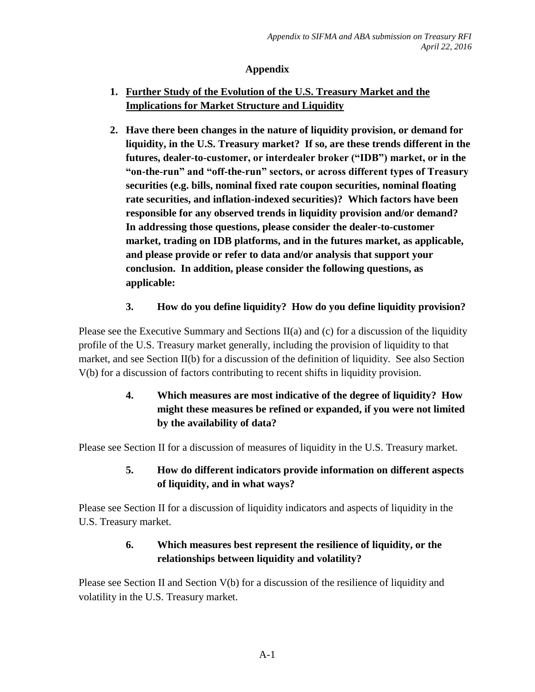## **Appendix**

- **1. Further Study of the Evolution of the U.S. Treasury Market and the Implications for Market Structure and Liquidity**
- **2. Have there been changes in the nature of liquidity provision, or demand for liquidity, in the U.S. Treasury market? If so, are these trends different in the futures, dealer-to-customer, or interdealer broker ("IDB") market, or in the "on-the-run" and "off-the-run" sectors, or across different types of Treasury securities (e.g. bills, nominal fixed rate coupon securities, nominal floating rate securities, and inflation-indexed securities)? Which factors have been responsible for any observed trends in liquidity provision and/or demand? In addressing those questions, please consider the dealer-to-customer market, trading on IDB platforms, and in the futures market, as applicable, and please provide or refer to data and/or analysis that support your conclusion. In addition, please consider the following questions, as applicable:**

# **3. How do you define liquidity? How do you define liquidity provision?**

Please see the Executive Summary and Sections II(a) and (c) for a discussion of the liquidity profile of the U.S. Treasury market generally, including the provision of liquidity to that market, and see Section II(b) for a discussion of the definition of liquidity. See also Section V(b) for a discussion of factors contributing to recent shifts in liquidity provision.

# **4. Which measures are most indicative of the degree of liquidity? How might these measures be refined or expanded, if you were not limited by the availability of data?**

Please see Section II for a discussion of measures of liquidity in the U.S. Treasury market.

# **5. How do different indicators provide information on different aspects of liquidity, and in what ways?**

Please see Section II for a discussion of liquidity indicators and aspects of liquidity in the U.S. Treasury market.

# **6. Which measures best represent the resilience of liquidity, or the relationships between liquidity and volatility?**

Please see Section II and Section V(b) for a discussion of the resilience of liquidity and volatility in the U.S. Treasury market.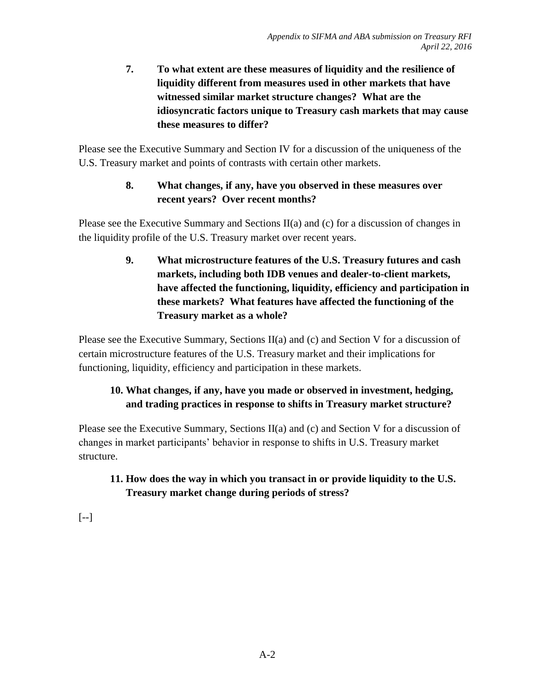**7. To what extent are these measures of liquidity and the resilience of liquidity different from measures used in other markets that have witnessed similar market structure changes? What are the idiosyncratic factors unique to Treasury cash markets that may cause these measures to differ?**

Please see the Executive Summary and Section IV for a discussion of the uniqueness of the U.S. Treasury market and points of contrasts with certain other markets.

# **8. What changes, if any, have you observed in these measures over recent years? Over recent months?**

Please see the Executive Summary and Sections II(a) and (c) for a discussion of changes in the liquidity profile of the U.S. Treasury market over recent years.

> **9. What microstructure features of the U.S. Treasury futures and cash markets, including both IDB venues and dealer-to-client markets, have affected the functioning, liquidity, efficiency and participation in these markets? What features have affected the functioning of the Treasury market as a whole?**

Please see the Executive Summary, Sections II(a) and (c) and Section V for a discussion of certain microstructure features of the U.S. Treasury market and their implications for functioning, liquidity, efficiency and participation in these markets.

# **10. What changes, if any, have you made or observed in investment, hedging, and trading practices in response to shifts in Treasury market structure?**

Please see the Executive Summary, Sections  $II(a)$  and (c) and Section V for a discussion of changes in market participants' behavior in response to shifts in U.S. Treasury market structure.

# **11. How does the way in which you transact in or provide liquidity to the U.S. Treasury market change during periods of stress?**

[--]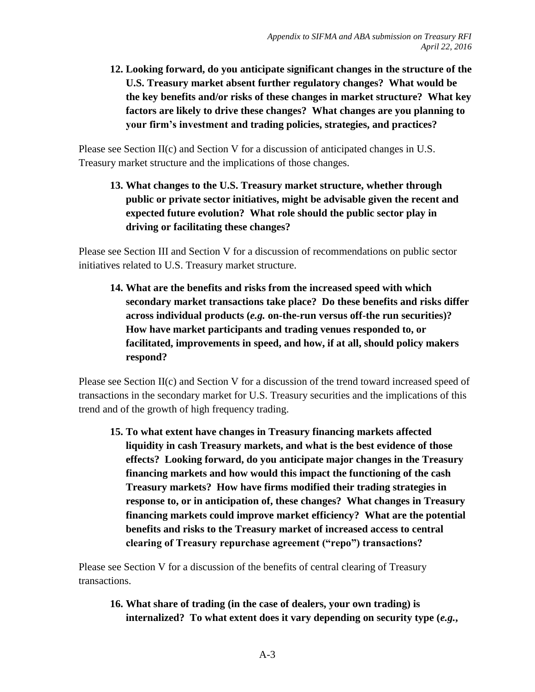**12. Looking forward, do you anticipate significant changes in the structure of the U.S. Treasury market absent further regulatory changes? What would be the key benefits and/or risks of these changes in market structure? What key factors are likely to drive these changes? What changes are you planning to your firm's investment and trading policies, strategies, and practices?**

Please see Section II(c) and Section V for a discussion of anticipated changes in U.S. Treasury market structure and the implications of those changes.

**13. What changes to the U.S. Treasury market structure, whether through public or private sector initiatives, might be advisable given the recent and expected future evolution? What role should the public sector play in driving or facilitating these changes?**

Please see Section III and Section V for a discussion of recommendations on public sector initiatives related to U.S. Treasury market structure.

**14. What are the benefits and risks from the increased speed with which secondary market transactions take place? Do these benefits and risks differ across individual products (***e.g.* **on-the-run versus off-the run securities)? How have market participants and trading venues responded to, or facilitated, improvements in speed, and how, if at all, should policy makers respond?**

Please see Section II(c) and Section V for a discussion of the trend toward increased speed of transactions in the secondary market for U.S. Treasury securities and the implications of this trend and of the growth of high frequency trading.

**15. To what extent have changes in Treasury financing markets affected liquidity in cash Treasury markets, and what is the best evidence of those effects? Looking forward, do you anticipate major changes in the Treasury financing markets and how would this impact the functioning of the cash Treasury markets? How have firms modified their trading strategies in response to, or in anticipation of, these changes? What changes in Treasury financing markets could improve market efficiency? What are the potential benefits and risks to the Treasury market of increased access to central clearing of Treasury repurchase agreement ("repo") transactions?**

Please see Section V for a discussion of the benefits of central clearing of Treasury transactions.

**16. What share of trading (in the case of dealers, your own trading) is internalized? To what extent does it vary depending on security type (***e.g.***,**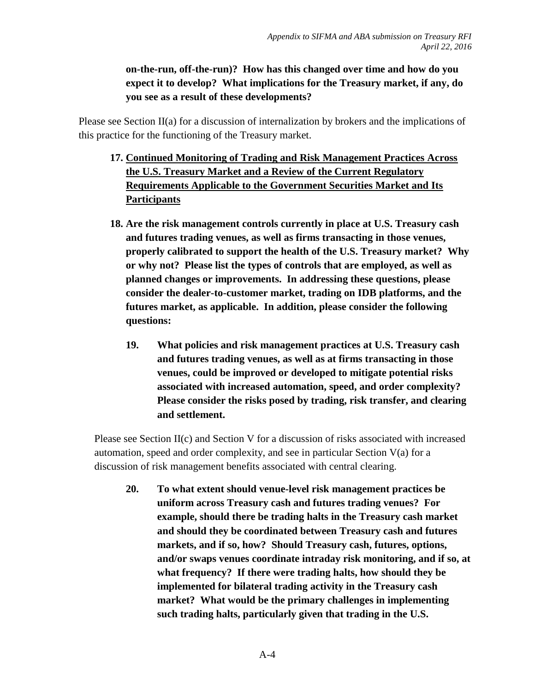## **on-the-run, off-the-run)? How has this changed over time and how do you expect it to develop? What implications for the Treasury market, if any, do you see as a result of these developments?**

Please see Section II(a) for a discussion of internalization by brokers and the implications of this practice for the functioning of the Treasury market.

- **17. Continued Monitoring of Trading and Risk Management Practices Across the U.S. Treasury Market and a Review of the Current Regulatory Requirements Applicable to the Government Securities Market and Its Participants**
- **18. Are the risk management controls currently in place at U.S. Treasury cash and futures trading venues, as well as firms transacting in those venues, properly calibrated to support the health of the U.S. Treasury market? Why or why not? Please list the types of controls that are employed, as well as planned changes or improvements. In addressing these questions, please consider the dealer-to-customer market, trading on IDB platforms, and the futures market, as applicable. In addition, please consider the following questions:**
	- **19. What policies and risk management practices at U.S. Treasury cash and futures trading venues, as well as at firms transacting in those venues, could be improved or developed to mitigate potential risks associated with increased automation, speed, and order complexity? Please consider the risks posed by trading, risk transfer, and clearing and settlement.**

Please see Section II(c) and Section V for a discussion of risks associated with increased automation, speed and order complexity, and see in particular Section  $V(a)$  for a discussion of risk management benefits associated with central clearing.

**20. To what extent should venue-level risk management practices be uniform across Treasury cash and futures trading venues? For example, should there be trading halts in the Treasury cash market and should they be coordinated between Treasury cash and futures markets, and if so, how? Should Treasury cash, futures, options, and/or swaps venues coordinate intraday risk monitoring, and if so, at what frequency? If there were trading halts, how should they be implemented for bilateral trading activity in the Treasury cash market? What would be the primary challenges in implementing such trading halts, particularly given that trading in the U.S.**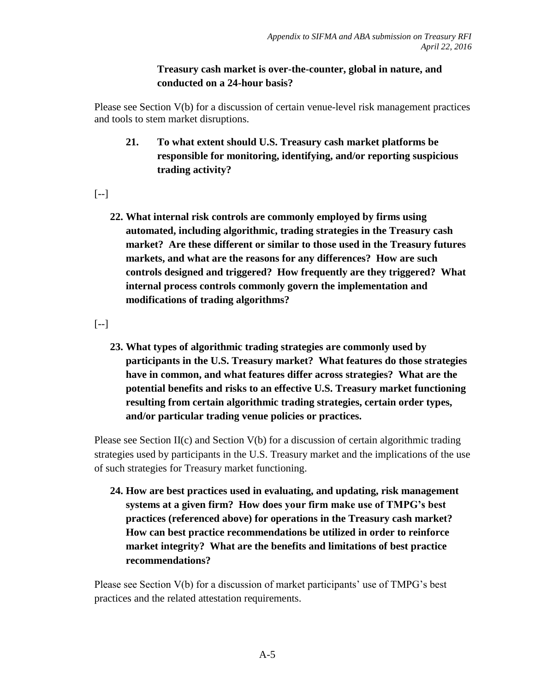### **Treasury cash market is over-the-counter, global in nature, and conducted on a 24-hour basis?**

Please see Section V(b) for a discussion of certain venue-level risk management practices and tools to stem market disruptions.

**21. To what extent should U.S. Treasury cash market platforms be responsible for monitoring, identifying, and/or reporting suspicious trading activity?**

 $[--]$ 

**22. What internal risk controls are commonly employed by firms using automated, including algorithmic, trading strategies in the Treasury cash market? Are these different or similar to those used in the Treasury futures markets, and what are the reasons for any differences? How are such controls designed and triggered? How frequently are they triggered? What internal process controls commonly govern the implementation and modifications of trading algorithms?**

 $[--]$ 

**23. What types of algorithmic trading strategies are commonly used by participants in the U.S. Treasury market? What features do those strategies have in common, and what features differ across strategies? What are the potential benefits and risks to an effective U.S. Treasury market functioning resulting from certain algorithmic trading strategies, certain order types, and/or particular trading venue policies or practices.** 

Please see Section II(c) and Section V(b) for a discussion of certain algorithmic trading strategies used by participants in the U.S. Treasury market and the implications of the use of such strategies for Treasury market functioning.

**24. How are best practices used in evaluating, and updating, risk management systems at a given firm? How does your firm make use of TMPG's best practices (referenced above) for operations in the Treasury cash market? How can best practice recommendations be utilized in order to reinforce market integrity? What are the benefits and limitations of best practice recommendations?**

Please see Section V(b) for a discussion of market participants' use of TMPG's best practices and the related attestation requirements.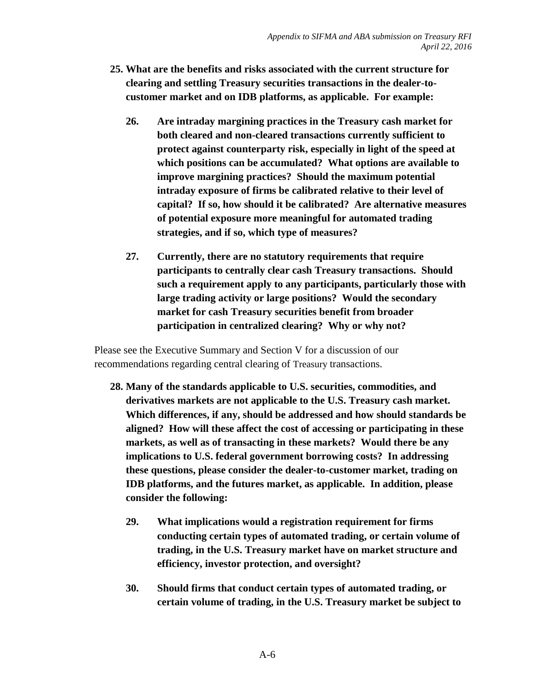- **25. What are the benefits and risks associated with the current structure for clearing and settling Treasury securities transactions in the dealer-tocustomer market and on IDB platforms, as applicable. For example:** 
	- **26. Are intraday margining practices in the Treasury cash market for both cleared and non-cleared transactions currently sufficient to protect against counterparty risk, especially in light of the speed at which positions can be accumulated? What options are available to improve margining practices? Should the maximum potential intraday exposure of firms be calibrated relative to their level of capital? If so, how should it be calibrated? Are alternative measures of potential exposure more meaningful for automated trading strategies, and if so, which type of measures?**
	- **27. Currently, there are no statutory requirements that require participants to centrally clear cash Treasury transactions. Should such a requirement apply to any participants, particularly those with large trading activity or large positions? Would the secondary market for cash Treasury securities benefit from broader participation in centralized clearing? Why or why not?**

Please see the Executive Summary and Section V for a discussion of our recommendations regarding central clearing of Treasury transactions.

- **28. Many of the standards applicable to U.S. securities, commodities, and derivatives markets are not applicable to the U.S. Treasury cash market. Which differences, if any, should be addressed and how should standards be aligned? How will these affect the cost of accessing or participating in these markets, as well as of transacting in these markets? Would there be any implications to U.S. federal government borrowing costs? In addressing these questions, please consider the dealer-to-customer market, trading on IDB platforms, and the futures market, as applicable. In addition, please consider the following:** 
	- **29. What implications would a registration requirement for firms conducting certain types of automated trading, or certain volume of trading, in the U.S. Treasury market have on market structure and efficiency, investor protection, and oversight?**
	- **30. Should firms that conduct certain types of automated trading, or certain volume of trading, in the U.S. Treasury market be subject to**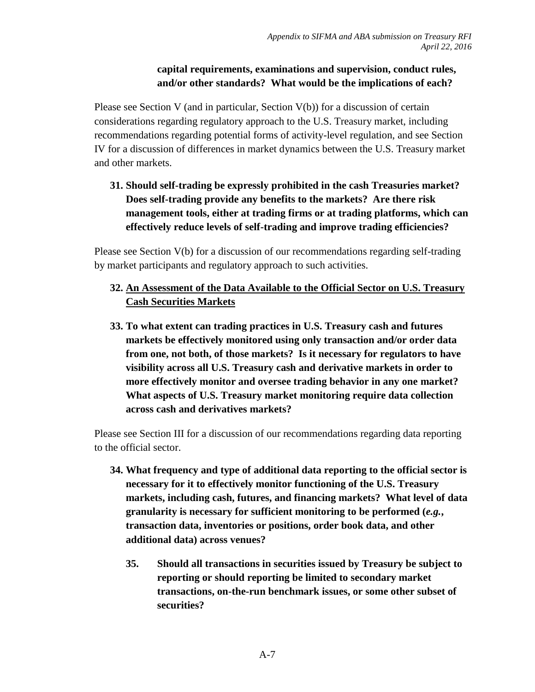## **capital requirements, examinations and supervision, conduct rules, and/or other standards? What would be the implications of each?**

Please see Section V (and in particular, Section V(b)) for a discussion of certain considerations regarding regulatory approach to the U.S. Treasury market, including recommendations regarding potential forms of activity-level regulation, and see Section IV for a discussion of differences in market dynamics between the U.S. Treasury market and other markets.

# **31. Should self-trading be expressly prohibited in the cash Treasuries market? Does self-trading provide any benefits to the markets? Are there risk management tools, either at trading firms or at trading platforms, which can effectively reduce levels of self-trading and improve trading efficiencies?**

Please see Section V(b) for a discussion of our recommendations regarding self-trading by market participants and regulatory approach to such activities.

## **32. An Assessment of the Data Available to the Official Sector on U.S. Treasury Cash Securities Markets**

**33. To what extent can trading practices in U.S. Treasury cash and futures markets be effectively monitored using only transaction and/or order data from one, not both, of those markets? Is it necessary for regulators to have visibility across all U.S. Treasury cash and derivative markets in order to more effectively monitor and oversee trading behavior in any one market? What aspects of U.S. Treasury market monitoring require data collection across cash and derivatives markets?**

Please see Section III for a discussion of our recommendations regarding data reporting to the official sector.

- **34. What frequency and type of additional data reporting to the official sector is necessary for it to effectively monitor functioning of the U.S. Treasury markets, including cash, futures, and financing markets? What level of data granularity is necessary for sufficient monitoring to be performed (***e.g.***, transaction data, inventories or positions, order book data, and other additional data) across venues?**
	- **35. Should all transactions in securities issued by Treasury be subject to reporting or should reporting be limited to secondary market transactions, on-the-run benchmark issues, or some other subset of securities?**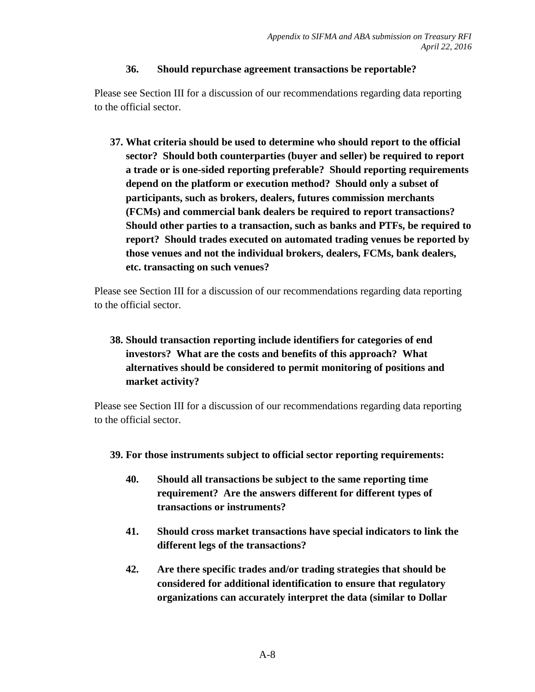#### **36. Should repurchase agreement transactions be reportable?**

Please see Section III for a discussion of our recommendations regarding data reporting to the official sector.

**37. What criteria should be used to determine who should report to the official sector? Should both counterparties (buyer and seller) be required to report a trade or is one-sided reporting preferable? Should reporting requirements depend on the platform or execution method? Should only a subset of participants, such as brokers, dealers, futures commission merchants (FCMs) and commercial bank dealers be required to report transactions? Should other parties to a transaction, such as banks and PTFs, be required to report? Should trades executed on automated trading venues be reported by those venues and not the individual brokers, dealers, FCMs, bank dealers, etc. transacting on such venues?**

Please see Section III for a discussion of our recommendations regarding data reporting to the official sector.

# **38. Should transaction reporting include identifiers for categories of end investors? What are the costs and benefits of this approach? What alternatives should be considered to permit monitoring of positions and market activity?**

Please see Section III for a discussion of our recommendations regarding data reporting to the official sector.

- **39. For those instruments subject to official sector reporting requirements:** 
	- **40. Should all transactions be subject to the same reporting time requirement? Are the answers different for different types of transactions or instruments?**
	- **41. Should cross market transactions have special indicators to link the different legs of the transactions?**
	- **42. Are there specific trades and/or trading strategies that should be considered for additional identification to ensure that regulatory organizations can accurately interpret the data (similar to Dollar**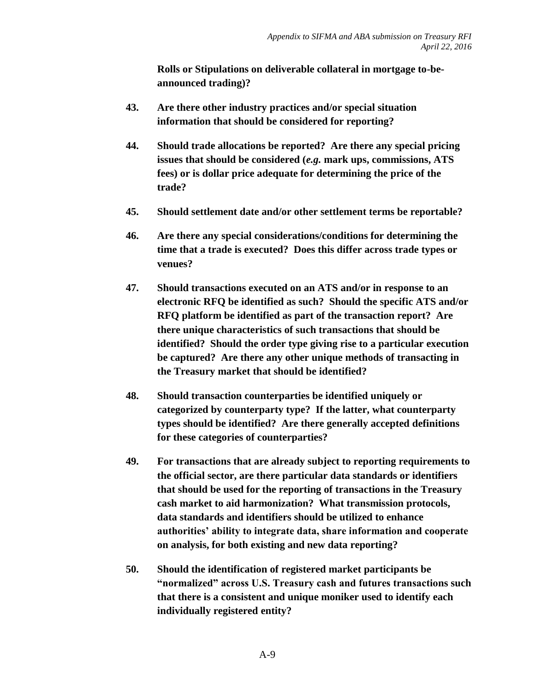**Rolls or Stipulations on deliverable collateral in mortgage to-beannounced trading)?**

- **43. Are there other industry practices and/or special situation information that should be considered for reporting?**
- **44. Should trade allocations be reported? Are there any special pricing issues that should be considered (***e.g.* **mark ups, commissions, ATS fees) or is dollar price adequate for determining the price of the trade?**
- **45. Should settlement date and/or other settlement terms be reportable?**
- **46. Are there any special considerations/conditions for determining the time that a trade is executed? Does this differ across trade types or venues?**
- **47. Should transactions executed on an ATS and/or in response to an electronic RFQ be identified as such? Should the specific ATS and/or RFQ platform be identified as part of the transaction report? Are there unique characteristics of such transactions that should be identified? Should the order type giving rise to a particular execution be captured? Are there any other unique methods of transacting in the Treasury market that should be identified?**
- **48. Should transaction counterparties be identified uniquely or categorized by counterparty type? If the latter, what counterparty types should be identified? Are there generally accepted definitions for these categories of counterparties?**
- **49. For transactions that are already subject to reporting requirements to the official sector, are there particular data standards or identifiers that should be used for the reporting of transactions in the Treasury cash market to aid harmonization? What transmission protocols, data standards and identifiers should be utilized to enhance authorities' ability to integrate data, share information and cooperate on analysis, for both existing and new data reporting?**
- **50. Should the identification of registered market participants be "normalized" across U.S. Treasury cash and futures transactions such that there is a consistent and unique moniker used to identify each individually registered entity?**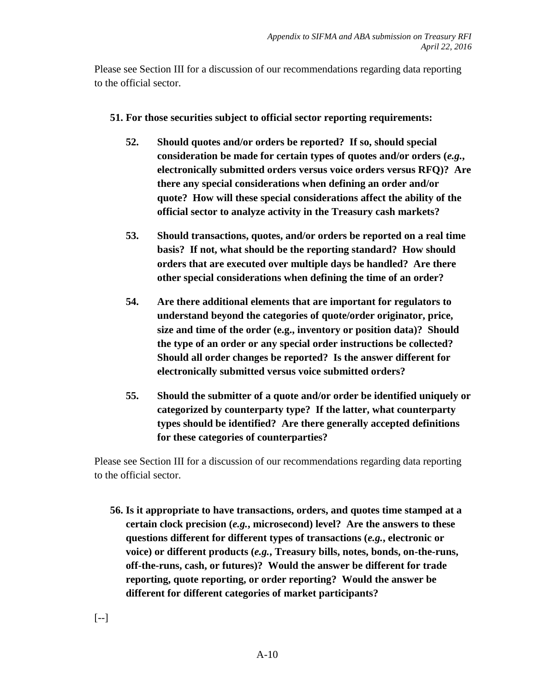Please see Section III for a discussion of our recommendations regarding data reporting to the official sector.

- **51. For those securities subject to official sector reporting requirements:** 
	- **52. Should quotes and/or orders be reported? If so, should special consideration be made for certain types of quotes and/or orders (***e.g.***, electronically submitted orders versus voice orders versus RFQ)? Are there any special considerations when defining an order and/or quote? How will these special considerations affect the ability of the official sector to analyze activity in the Treasury cash markets?**
	- **53. Should transactions, quotes, and/or orders be reported on a real time basis? If not, what should be the reporting standard? How should orders that are executed over multiple days be handled? Are there other special considerations when defining the time of an order?**
	- **54. Are there additional elements that are important for regulators to understand beyond the categories of quote/order originator, price, size and time of the order (e.g., inventory or position data)? Should the type of an order or any special order instructions be collected? Should all order changes be reported? Is the answer different for electronically submitted versus voice submitted orders?**
	- **55. Should the submitter of a quote and/or order be identified uniquely or categorized by counterparty type? If the latter, what counterparty types should be identified? Are there generally accepted definitions for these categories of counterparties?**

Please see Section III for a discussion of our recommendations regarding data reporting to the official sector.

**56. Is it appropriate to have transactions, orders, and quotes time stamped at a certain clock precision (***e.g.***, microsecond) level? Are the answers to these questions different for different types of transactions (***e.g.***, electronic or voice) or different products (***e.g.***, Treasury bills, notes, bonds, on-the-runs, off-the-runs, cash, or futures)? Would the answer be different for trade reporting, quote reporting, or order reporting? Would the answer be different for different categories of market participants?**

[--]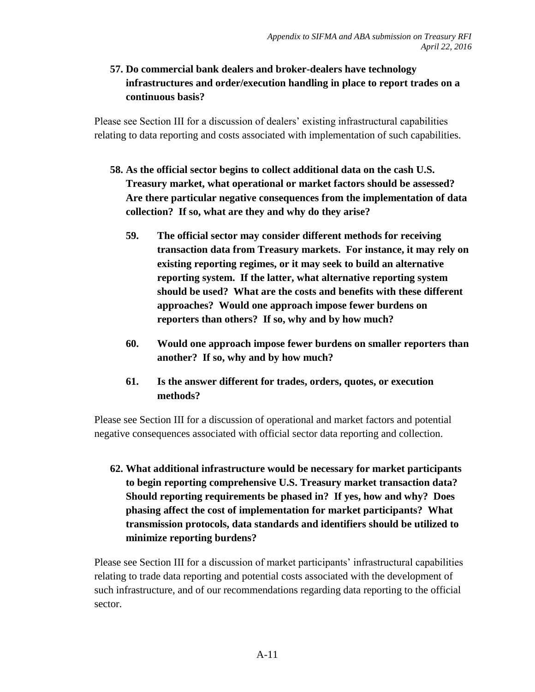## **57. Do commercial bank dealers and broker-dealers have technology infrastructures and order/execution handling in place to report trades on a continuous basis?**

Please see Section III for a discussion of dealers' existing infrastructural capabilities relating to data reporting and costs associated with implementation of such capabilities.

- **58. As the official sector begins to collect additional data on the cash U.S. Treasury market, what operational or market factors should be assessed? Are there particular negative consequences from the implementation of data collection? If so, what are they and why do they arise?**
	- **59. The official sector may consider different methods for receiving transaction data from Treasury markets. For instance, it may rely on existing reporting regimes, or it may seek to build an alternative reporting system. If the latter, what alternative reporting system should be used? What are the costs and benefits with these different approaches? Would one approach impose fewer burdens on reporters than others? If so, why and by how much?**
	- **60. Would one approach impose fewer burdens on smaller reporters than another? If so, why and by how much?**
	- **61. Is the answer different for trades, orders, quotes, or execution methods?**

Please see Section III for a discussion of operational and market factors and potential negative consequences associated with official sector data reporting and collection.

**62. What additional infrastructure would be necessary for market participants to begin reporting comprehensive U.S. Treasury market transaction data? Should reporting requirements be phased in? If yes, how and why? Does phasing affect the cost of implementation for market participants? What transmission protocols, data standards and identifiers should be utilized to minimize reporting burdens?**

Please see Section III for a discussion of market participants' infrastructural capabilities relating to trade data reporting and potential costs associated with the development of such infrastructure, and of our recommendations regarding data reporting to the official sector.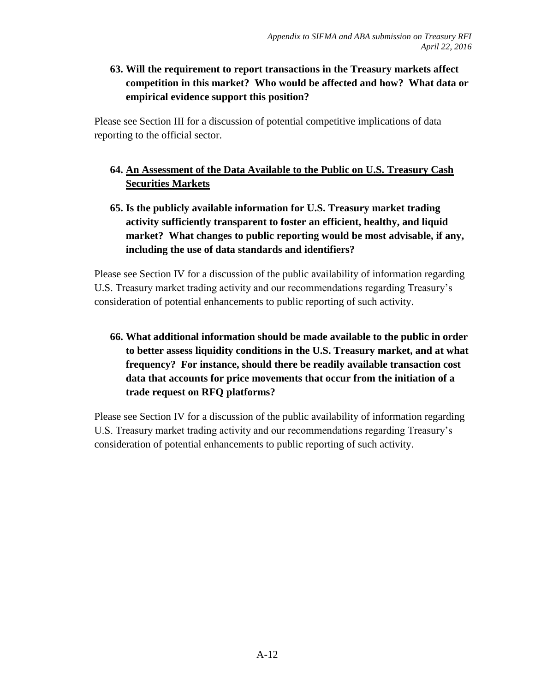## **63. Will the requirement to report transactions in the Treasury markets affect competition in this market? Who would be affected and how? What data or empirical evidence support this position?**

Please see Section III for a discussion of potential competitive implications of data reporting to the official sector.

## **64. An Assessment of the Data Available to the Public on U.S. Treasury Cash Securities Markets**

**65. Is the publicly available information for U.S. Treasury market trading activity sufficiently transparent to foster an efficient, healthy, and liquid market? What changes to public reporting would be most advisable, if any, including the use of data standards and identifiers?**

Please see Section IV for a discussion of the public availability of information regarding U.S. Treasury market trading activity and our recommendations regarding Treasury's consideration of potential enhancements to public reporting of such activity.

**66. What additional information should be made available to the public in order to better assess liquidity conditions in the U.S. Treasury market, and at what frequency? For instance, should there be readily available transaction cost data that accounts for price movements that occur from the initiation of a trade request on RFQ platforms?**

Please see Section IV for a discussion of the public availability of information regarding U.S. Treasury market trading activity and our recommendations regarding Treasury's consideration of potential enhancements to public reporting of such activity.